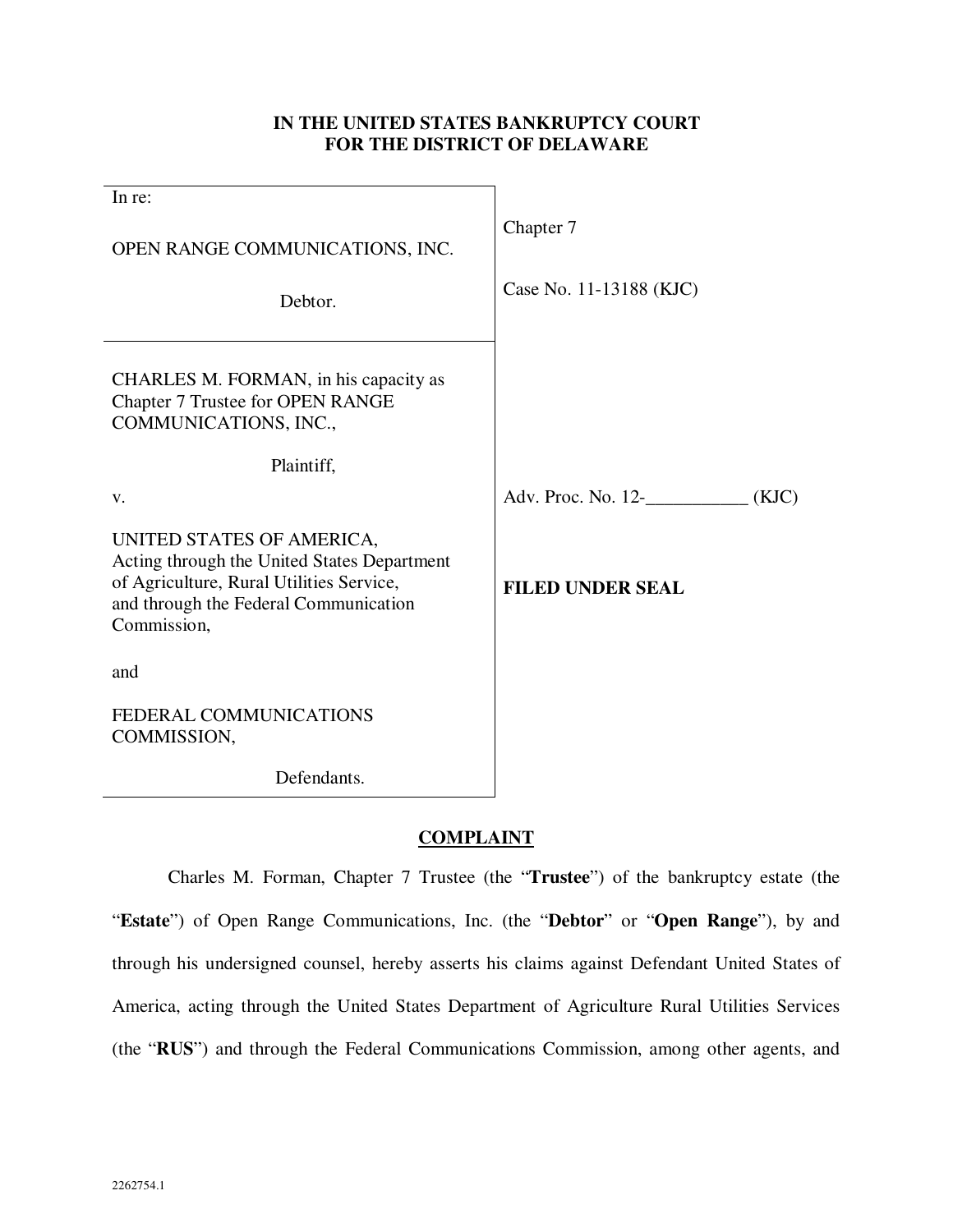# **IN THE UNITED STATES BANKRUPTCY COURT FOR THE DISTRICT OF DELAWARE**

| In re:                                                                                                                                                                       |                             |
|------------------------------------------------------------------------------------------------------------------------------------------------------------------------------|-----------------------------|
| OPEN RANGE COMMUNICATIONS, INC.                                                                                                                                              | Chapter 7                   |
| Debtor.                                                                                                                                                                      | Case No. 11-13188 (KJC)     |
| CHARLES M. FORMAN, in his capacity as<br>Chapter 7 Trustee for OPEN RANGE<br>COMMUNICATIONS, INC.,                                                                           |                             |
| Plaintiff,                                                                                                                                                                   |                             |
| V.                                                                                                                                                                           | Adv. Proc. No. 12-<br>(KJC) |
| UNITED STATES OF AMERICA,<br>Acting through the United States Department<br>of Agriculture, Rural Utilities Service,<br>and through the Federal Communication<br>Commission, | <b>FILED UNDER SEAL</b>     |
| and                                                                                                                                                                          |                             |
| FEDERAL COMMUNICATIONS<br>COMMISSION,                                                                                                                                        |                             |
| Defendants.                                                                                                                                                                  |                             |

# **COMPLAINT**

Charles M. Forman, Chapter 7 Trustee (the "**Trustee**") of the bankruptcy estate (the "**Estate**") of Open Range Communications, Inc. (the "**Debtor**" or "**Open Range**"), by and through his undersigned counsel, hereby asserts his claims against Defendant United States of America, acting through the United States Department of Agriculture Rural Utilities Services (the "**RUS**") and through the Federal Communications Commission, among other agents, and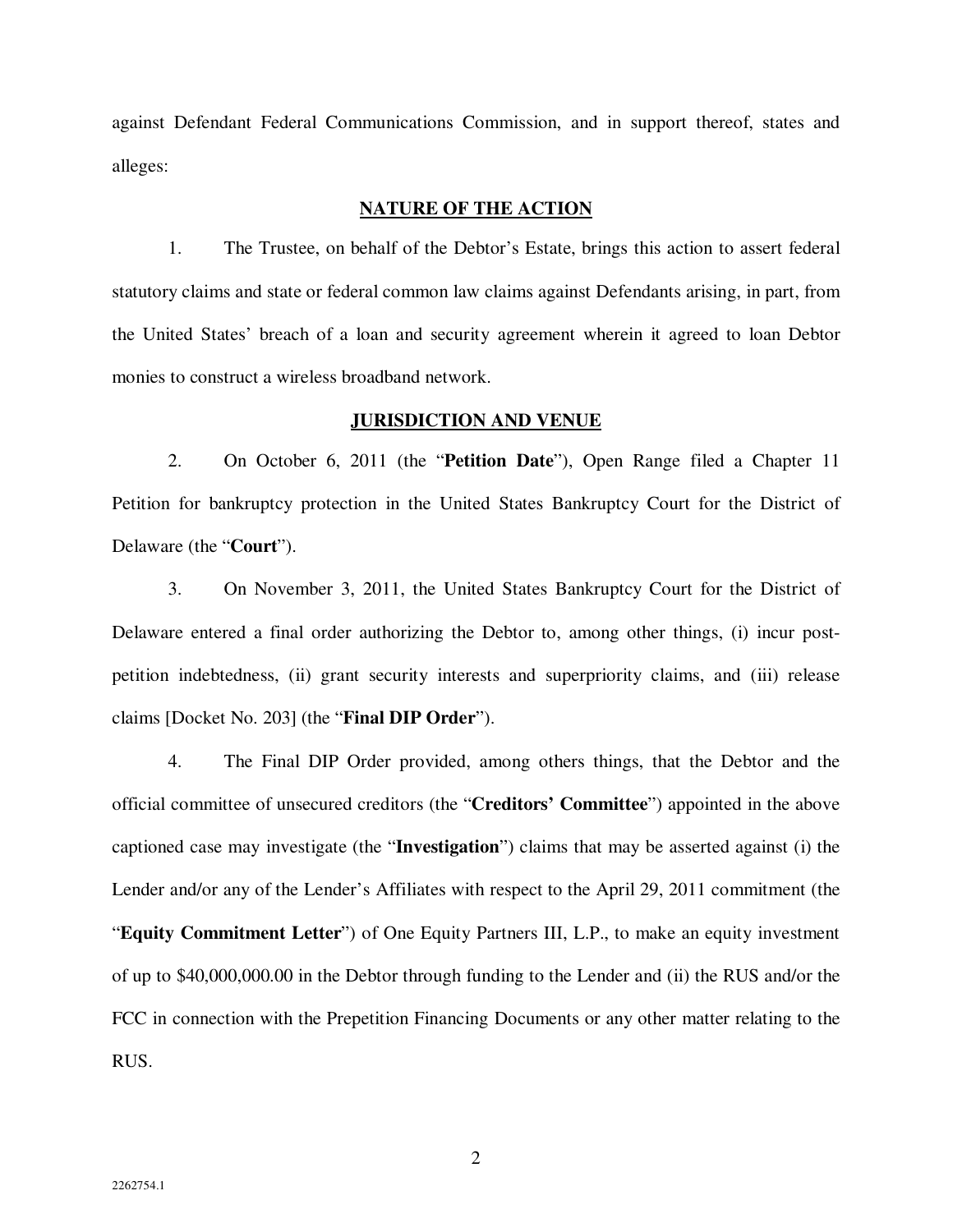against Defendant Federal Communications Commission, and in support thereof, states and alleges:

# **NATURE OF THE ACTION**

1. The Trustee, on behalf of the Debtor's Estate, brings this action to assert federal statutory claims and state or federal common law claims against Defendants arising, in part, from the United States' breach of a loan and security agreement wherein it agreed to loan Debtor monies to construct a wireless broadband network.

#### **JURISDICTION AND VENUE**

2. On October 6, 2011 (the "**Petition Date**"), Open Range filed a Chapter 11 Petition for bankruptcy protection in the United States Bankruptcy Court for the District of Delaware (the "**Court**").

3. On November 3, 2011, the United States Bankruptcy Court for the District of Delaware entered a final order authorizing the Debtor to, among other things, (i) incur postpetition indebtedness, (ii) grant security interests and superpriority claims, and (iii) release claims [Docket No. 203] (the "**Final DIP Order**").

4. The Final DIP Order provided, among others things, that the Debtor and the official committee of unsecured creditors (the "**Creditors' Committee**") appointed in the above captioned case may investigate (the "**Investigation**") claims that may be asserted against (i) the Lender and/or any of the Lender's Affiliates with respect to the April 29, 2011 commitment (the "**Equity Commitment Letter**") of One Equity Partners III, L.P., to make an equity investment of up to \$40,000,000.00 in the Debtor through funding to the Lender and (ii) the RUS and/or the FCC in connection with the Prepetition Financing Documents or any other matter relating to the RUS.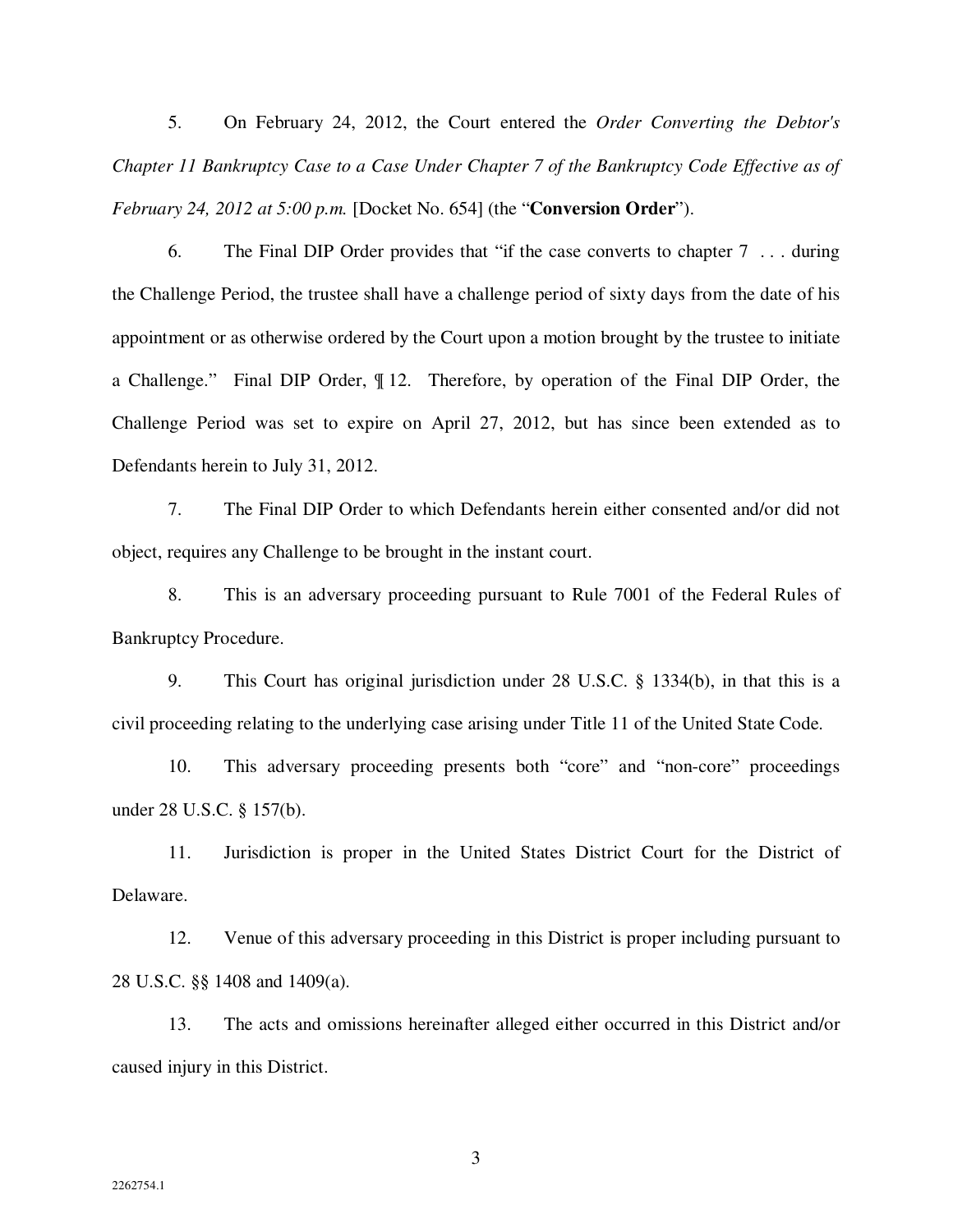5. On February 24, 2012, the Court entered the *Order Converting the Debtor's Chapter 11 Bankruptcy Case to a Case Under Chapter 7 of the Bankruptcy Code Effective as of February 24, 2012 at 5:00 p.m.* [Docket No. 654] (the "**Conversion Order**").

6. The Final DIP Order provides that "if the case converts to chapter 7 . . . during the Challenge Period, the trustee shall have a challenge period of sixty days from the date of his appointment or as otherwise ordered by the Court upon a motion brought by the trustee to initiate a Challenge." Final DIP Order, ¶ 12. Therefore, by operation of the Final DIP Order, the Challenge Period was set to expire on April 27, 2012, but has since been extended as to Defendants herein to July 31, 2012.

7. The Final DIP Order to which Defendants herein either consented and/or did not object, requires any Challenge to be brought in the instant court.

8. This is an adversary proceeding pursuant to Rule 7001 of the Federal Rules of Bankruptcy Procedure.

9. This Court has original jurisdiction under 28 U.S.C. § 1334(b), in that this is a civil proceeding relating to the underlying case arising under Title 11 of the United State Code.

10. This adversary proceeding presents both "core" and "non-core" proceedings under 28 U.S.C. § 157(b).

11. Jurisdiction is proper in the United States District Court for the District of Delaware.

12. Venue of this adversary proceeding in this District is proper including pursuant to 28 U.S.C. §§ 1408 and 1409(a).

13. The acts and omissions hereinafter alleged either occurred in this District and/or caused injury in this District.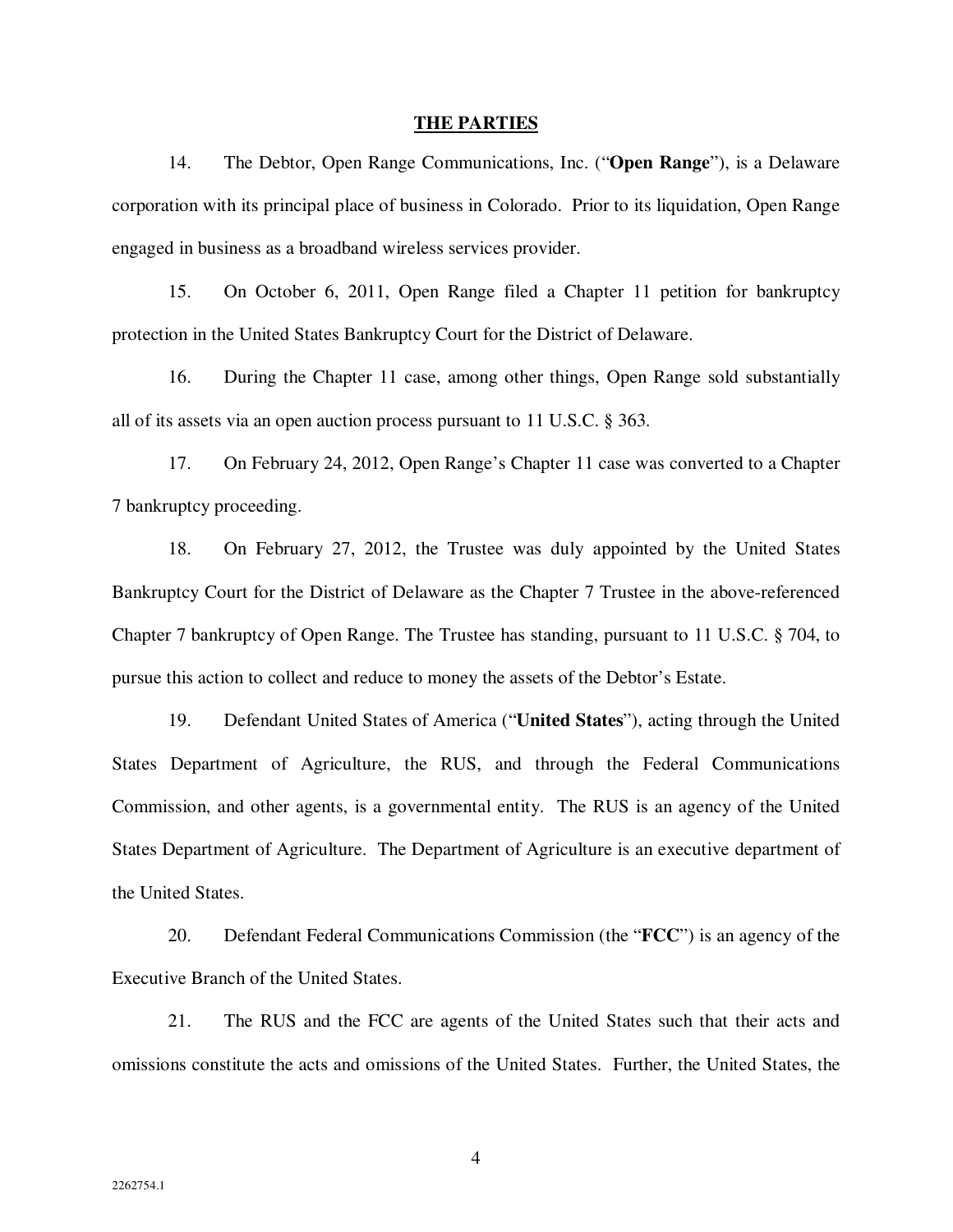#### **THE PARTIES**

14. The Debtor, Open Range Communications, Inc. ("**Open Range**"), is a Delaware corporation with its principal place of business in Colorado. Prior to its liquidation, Open Range engaged in business as a broadband wireless services provider.

15. On October 6, 2011, Open Range filed a Chapter 11 petition for bankruptcy protection in the United States Bankruptcy Court for the District of Delaware.

16. During the Chapter 11 case, among other things, Open Range sold substantially all of its assets via an open auction process pursuant to 11 U.S.C. § 363.

17. On February 24, 2012, Open Range's Chapter 11 case was converted to a Chapter 7 bankruptcy proceeding.

18. On February 27, 2012, the Trustee was duly appointed by the United States Bankruptcy Court for the District of Delaware as the Chapter 7 Trustee in the above-referenced Chapter 7 bankruptcy of Open Range. The Trustee has standing, pursuant to 11 U.S.C. § 704, to pursue this action to collect and reduce to money the assets of the Debtor's Estate.

19. Defendant United States of America ("**United States**"), acting through the United States Department of Agriculture, the RUS, and through the Federal Communications Commission, and other agents, is a governmental entity. The RUS is an agency of the United States Department of Agriculture. The Department of Agriculture is an executive department of the United States.

20. Defendant Federal Communications Commission (the "**FCC**") is an agency of the Executive Branch of the United States.

21. The RUS and the FCC are agents of the United States such that their acts and omissions constitute the acts and omissions of the United States. Further, the United States, the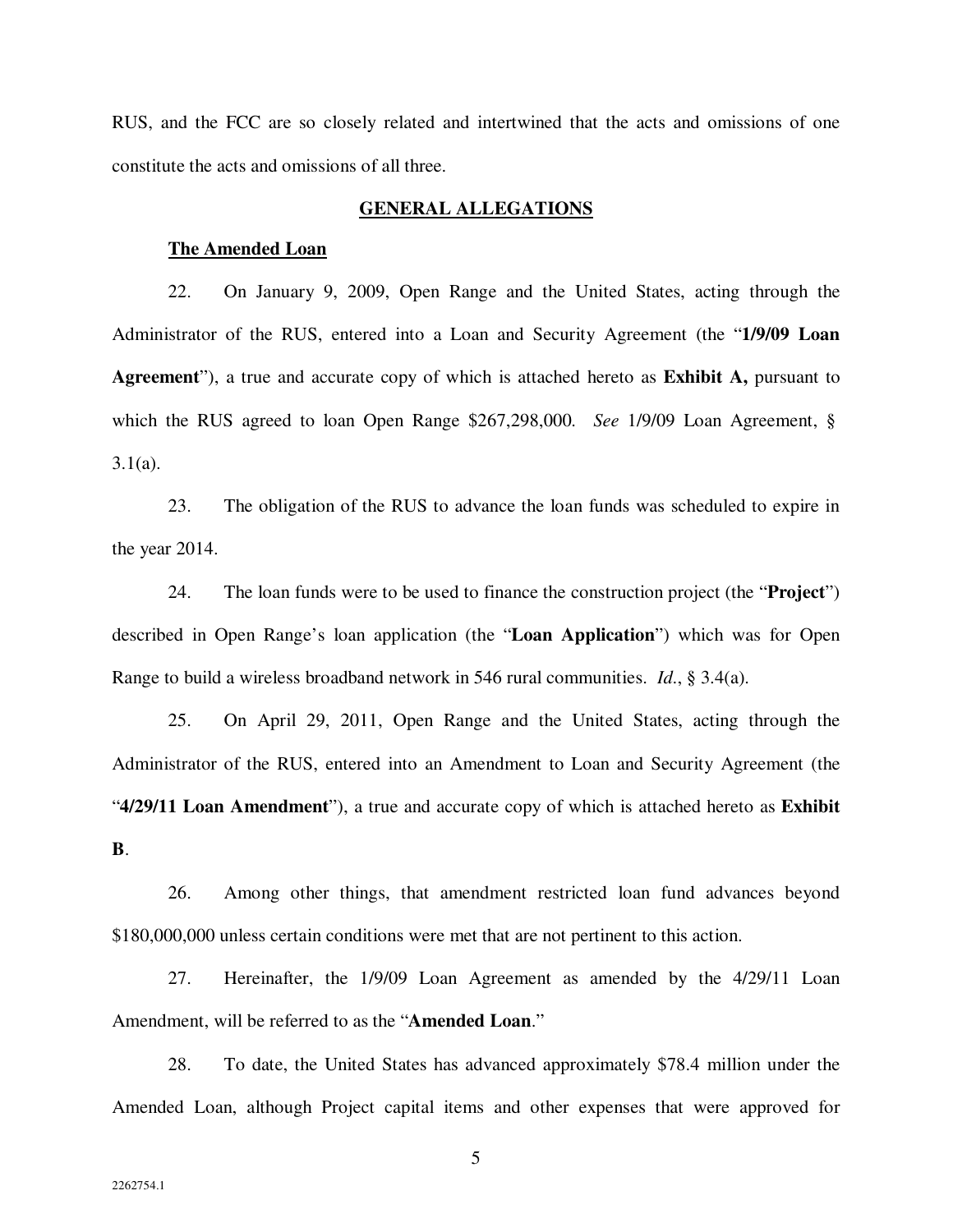RUS, and the FCC are so closely related and intertwined that the acts and omissions of one constitute the acts and omissions of all three.

### **GENERAL ALLEGATIONS**

#### **The Amended Loan**

22. On January 9, 2009, Open Range and the United States, acting through the Administrator of the RUS, entered into a Loan and Security Agreement (the "**1/9/09 Loan Agreement**"), a true and accurate copy of which is attached hereto as **Exhibit A,** pursuant to which the RUS agreed to loan Open Range \$267,298,000. *See* 1/9/09 Loan Agreement, §  $3.1(a)$ .

23. The obligation of the RUS to advance the loan funds was scheduled to expire in the year 2014.

24. The loan funds were to be used to finance the construction project (the "**Project**") described in Open Range's loan application (the "**Loan Application**") which was for Open Range to build a wireless broadband network in 546 rural communities. *Id*., § 3.4(a).

25. On April 29, 2011, Open Range and the United States, acting through the Administrator of the RUS, entered into an Amendment to Loan and Security Agreement (the "**4/29/11 Loan Amendment**"), a true and accurate copy of which is attached hereto as **Exhibit B**.

26. Among other things, that amendment restricted loan fund advances beyond \$180,000,000 unless certain conditions were met that are not pertinent to this action.

27. Hereinafter, the 1/9/09 Loan Agreement as amended by the 4/29/11 Loan Amendment, will be referred to as the "**Amended Loan**."

28. To date, the United States has advanced approximately \$78.4 million under the Amended Loan, although Project capital items and other expenses that were approved for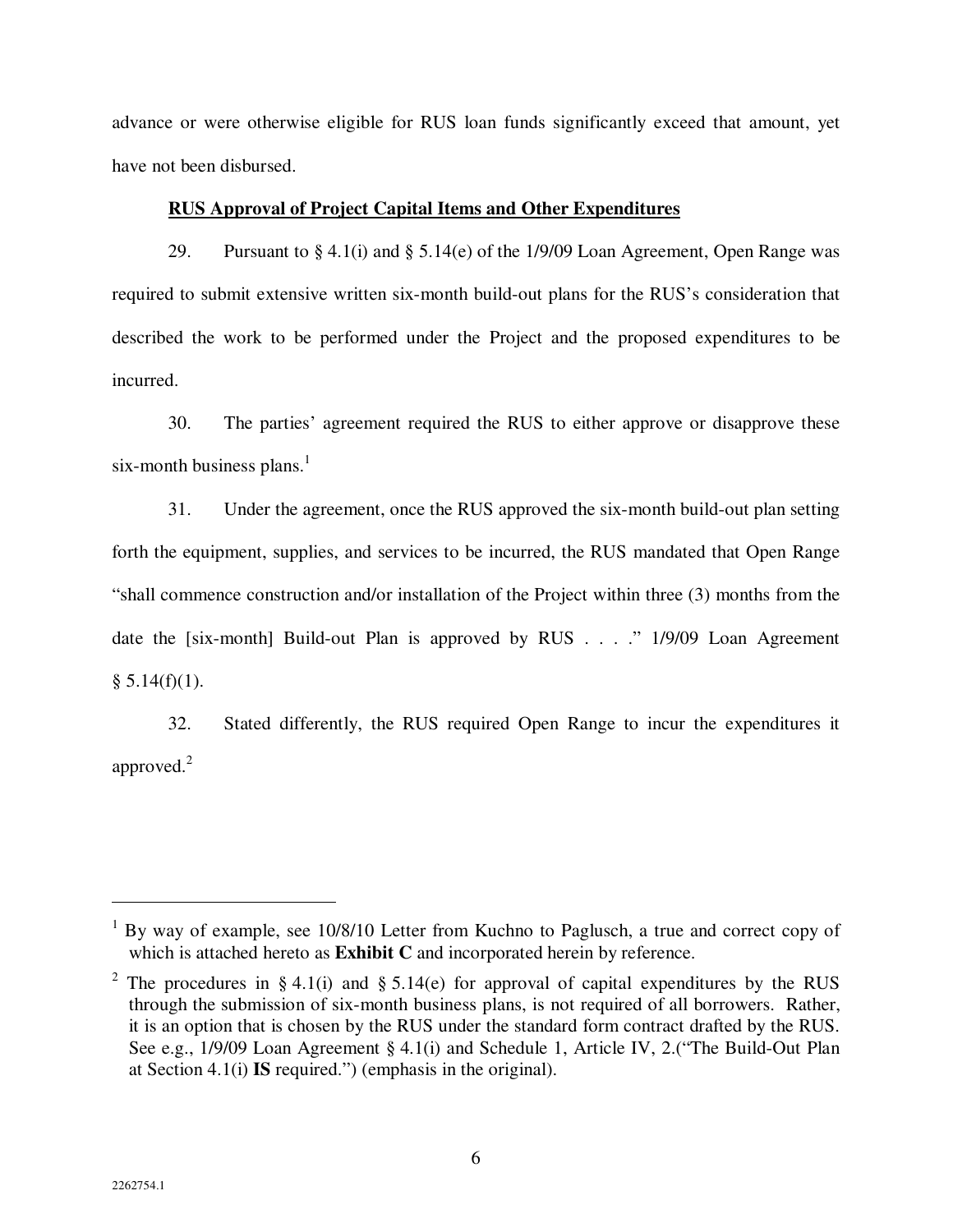advance or were otherwise eligible for RUS loan funds significantly exceed that amount, yet have not been disbursed.

# **RUS Approval of Project Capital Items and Other Expenditures**

29. Pursuant to § 4.1(i) and § 5.14(e) of the 1/9/09 Loan Agreement, Open Range was required to submit extensive written six-month build-out plans for the RUS's consideration that described the work to be performed under the Project and the proposed expenditures to be incurred.

30. The parties' agreement required the RUS to either approve or disapprove these six-month business plans. $<sup>1</sup>$ </sup>

31. Under the agreement, once the RUS approved the six-month build-out plan setting forth the equipment, supplies, and services to be incurred, the RUS mandated that Open Range "shall commence construction and/or installation of the Project within three (3) months from the date the [six-month] Build-out Plan is approved by RUS . . . ." 1/9/09 Loan Agreement  $§ 5.14(f)(1).$ 

32. Stated differently, the RUS required Open Range to incur the expenditures it approved. $2$ 

 $\overline{a}$ 

<sup>&</sup>lt;sup>1</sup> By way of example, see 10/8/10 Letter from Kuchno to Paglusch, a true and correct copy of which is attached hereto as **Exhibit C** and incorporated herein by reference.

<sup>&</sup>lt;sup>2</sup> The procedures in § 4.1(i) and § 5.14(e) for approval of capital expenditures by the RUS through the submission of six-month business plans, is not required of all borrowers. Rather, it is an option that is chosen by the RUS under the standard form contract drafted by the RUS. See e.g., 1/9/09 Loan Agreement § 4.1(i) and Schedule 1, Article IV, 2.("The Build-Out Plan at Section 4.1(i) **IS** required.") (emphasis in the original).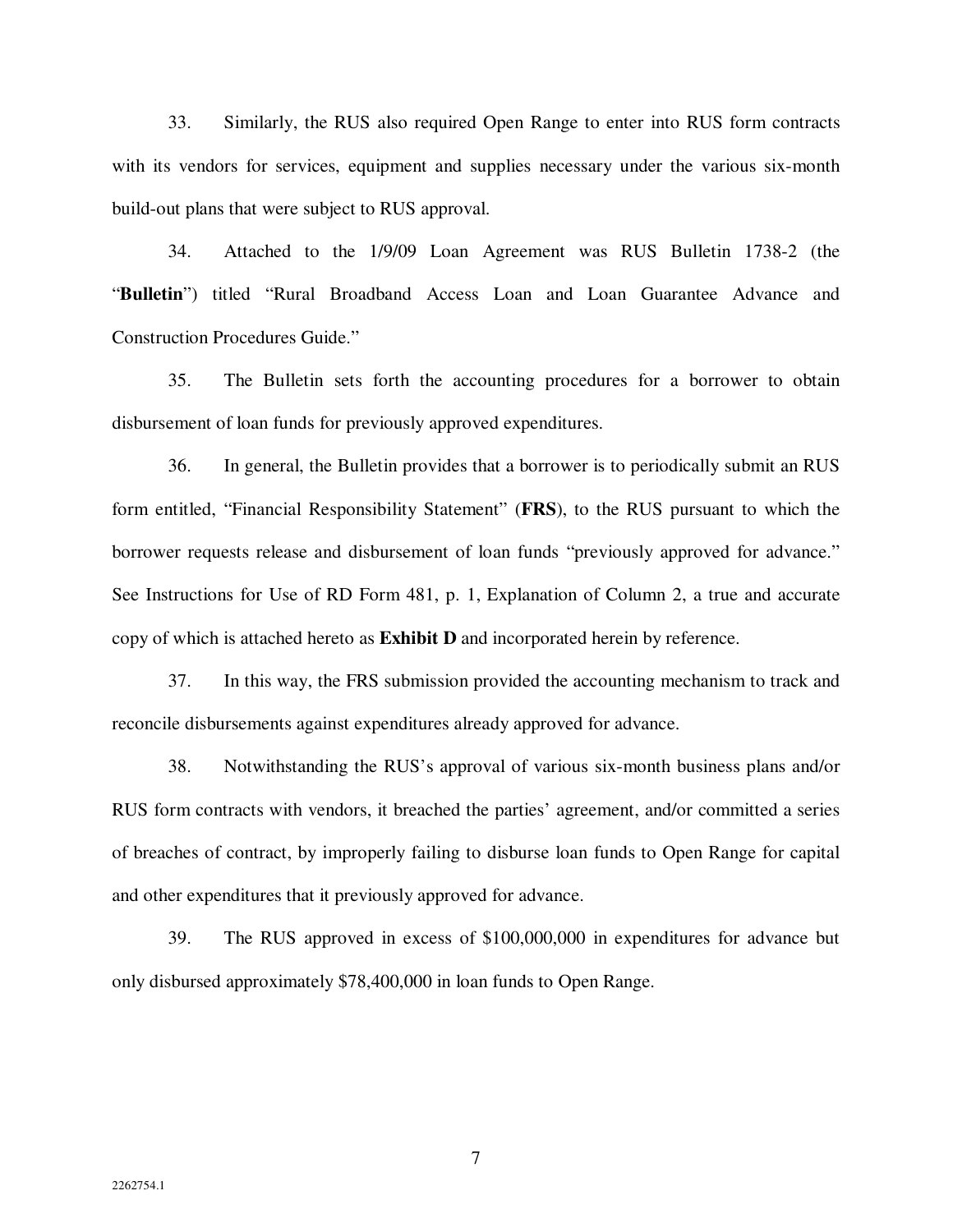33. Similarly, the RUS also required Open Range to enter into RUS form contracts with its vendors for services, equipment and supplies necessary under the various six-month build-out plans that were subject to RUS approval.

34. Attached to the 1/9/09 Loan Agreement was RUS Bulletin 1738-2 (the "**Bulletin**") titled "Rural Broadband Access Loan and Loan Guarantee Advance and Construction Procedures Guide."

35. The Bulletin sets forth the accounting procedures for a borrower to obtain disbursement of loan funds for previously approved expenditures.

36. In general, the Bulletin provides that a borrower is to periodically submit an RUS form entitled, "Financial Responsibility Statement" (**FRS**), to the RUS pursuant to which the borrower requests release and disbursement of loan funds "previously approved for advance." See Instructions for Use of RD Form 481, p. 1, Explanation of Column 2, a true and accurate copy of which is attached hereto as **Exhibit D** and incorporated herein by reference.

37. In this way, the FRS submission provided the accounting mechanism to track and reconcile disbursements against expenditures already approved for advance.

38. Notwithstanding the RUS's approval of various six-month business plans and/or RUS form contracts with vendors, it breached the parties' agreement, and/or committed a series of breaches of contract, by improperly failing to disburse loan funds to Open Range for capital and other expenditures that it previously approved for advance.

39. The RUS approved in excess of \$100,000,000 in expenditures for advance but only disbursed approximately \$78,400,000 in loan funds to Open Range.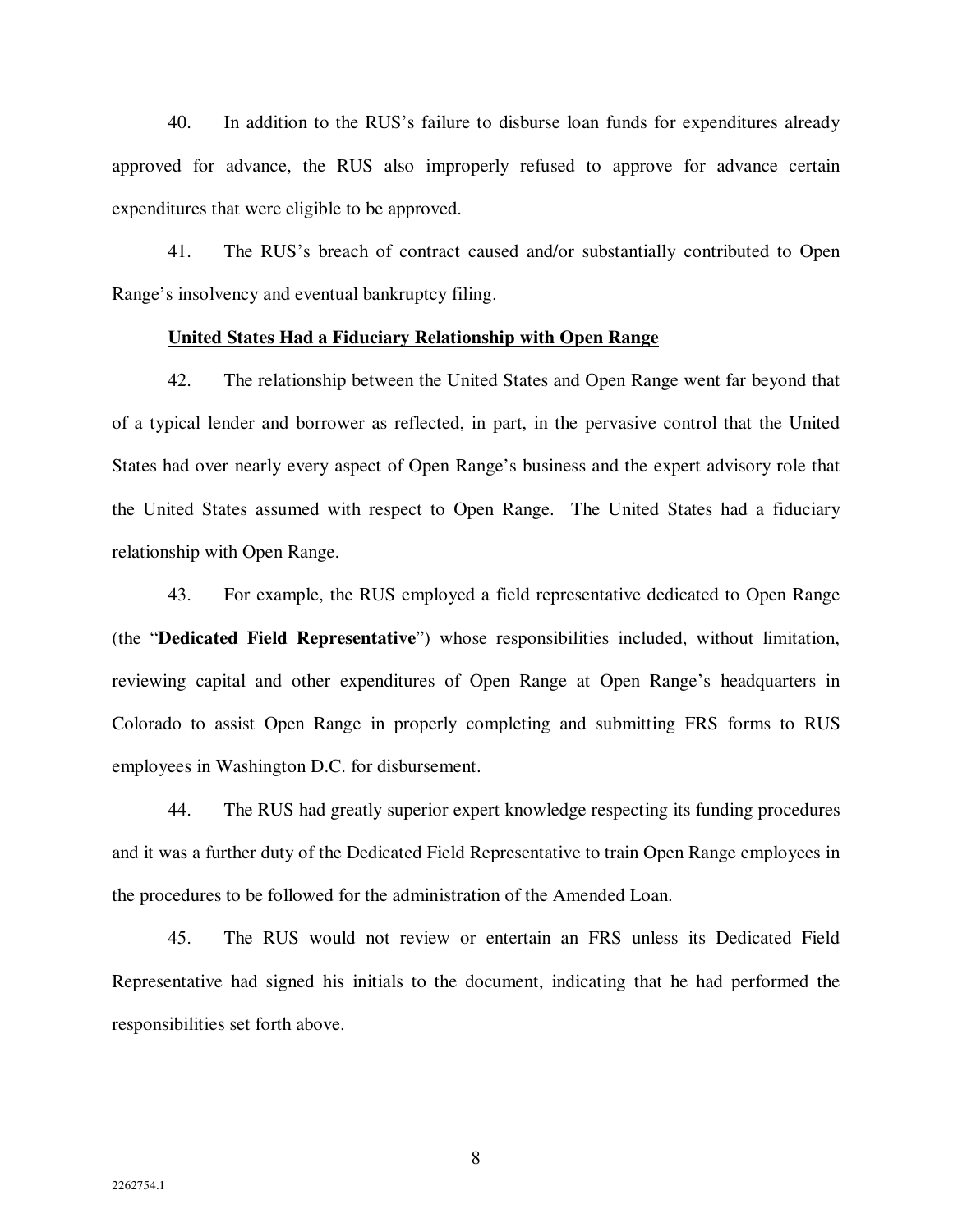40. In addition to the RUS's failure to disburse loan funds for expenditures already approved for advance, the RUS also improperly refused to approve for advance certain expenditures that were eligible to be approved.

41. The RUS's breach of contract caused and/or substantially contributed to Open Range's insolvency and eventual bankruptcy filing.

#### **United States Had a Fiduciary Relationship with Open Range**

42. The relationship between the United States and Open Range went far beyond that of a typical lender and borrower as reflected, in part, in the pervasive control that the United States had over nearly every aspect of Open Range's business and the expert advisory role that the United States assumed with respect to Open Range. The United States had a fiduciary relationship with Open Range.

43. For example, the RUS employed a field representative dedicated to Open Range (the "**Dedicated Field Representative**") whose responsibilities included, without limitation, reviewing capital and other expenditures of Open Range at Open Range's headquarters in Colorado to assist Open Range in properly completing and submitting FRS forms to RUS employees in Washington D.C. for disbursement.

44. The RUS had greatly superior expert knowledge respecting its funding procedures and it was a further duty of the Dedicated Field Representative to train Open Range employees in the procedures to be followed for the administration of the Amended Loan.

45. The RUS would not review or entertain an FRS unless its Dedicated Field Representative had signed his initials to the document, indicating that he had performed the responsibilities set forth above.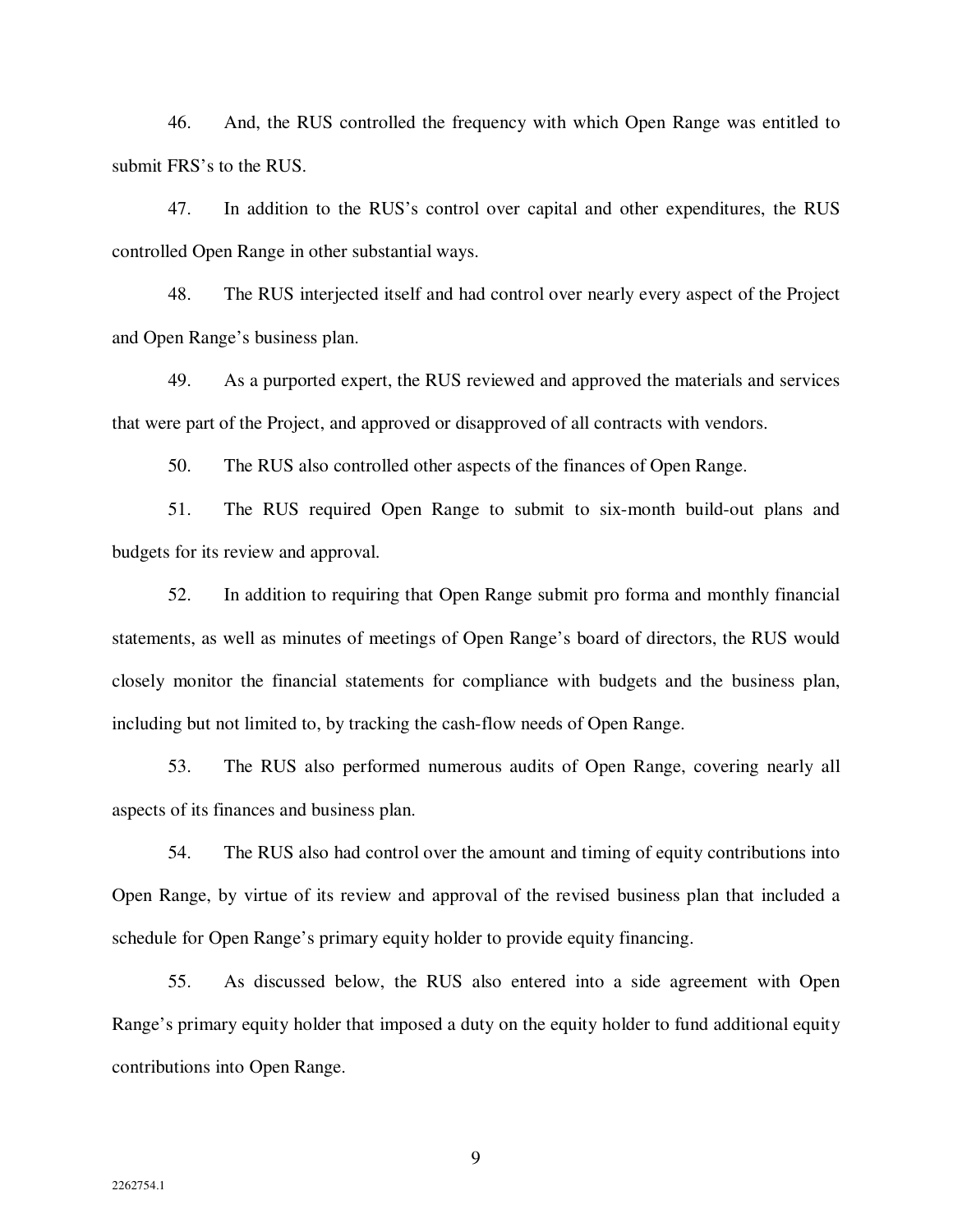46. And, the RUS controlled the frequency with which Open Range was entitled to submit FRS's to the RUS.

47. In addition to the RUS's control over capital and other expenditures, the RUS controlled Open Range in other substantial ways.

48. The RUS interjected itself and had control over nearly every aspect of the Project and Open Range's business plan.

49. As a purported expert, the RUS reviewed and approved the materials and services that were part of the Project, and approved or disapproved of all contracts with vendors.

50. The RUS also controlled other aspects of the finances of Open Range.

51. The RUS required Open Range to submit to six-month build-out plans and budgets for its review and approval.

52. In addition to requiring that Open Range submit pro forma and monthly financial statements, as well as minutes of meetings of Open Range's board of directors, the RUS would closely monitor the financial statements for compliance with budgets and the business plan, including but not limited to, by tracking the cash-flow needs of Open Range.

53. The RUS also performed numerous audits of Open Range, covering nearly all aspects of its finances and business plan.

54. The RUS also had control over the amount and timing of equity contributions into Open Range, by virtue of its review and approval of the revised business plan that included a schedule for Open Range's primary equity holder to provide equity financing.

55. As discussed below, the RUS also entered into a side agreement with Open Range's primary equity holder that imposed a duty on the equity holder to fund additional equity contributions into Open Range.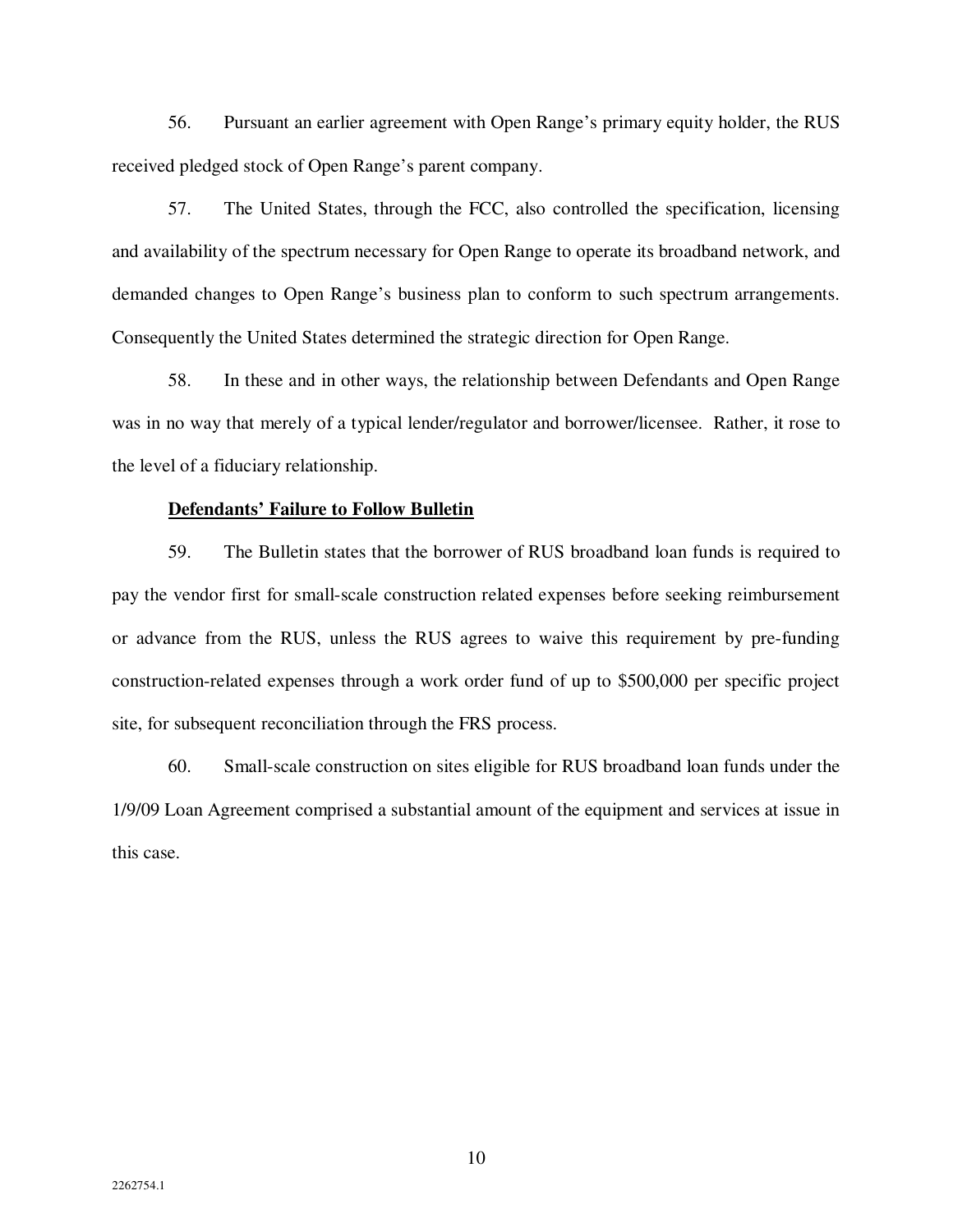56. Pursuant an earlier agreement with Open Range's primary equity holder, the RUS received pledged stock of Open Range's parent company.

57. The United States, through the FCC, also controlled the specification, licensing and availability of the spectrum necessary for Open Range to operate its broadband network, and demanded changes to Open Range's business plan to conform to such spectrum arrangements. Consequently the United States determined the strategic direction for Open Range.

58. In these and in other ways, the relationship between Defendants and Open Range was in no way that merely of a typical lender/regulator and borrower/licensee. Rather, it rose to the level of a fiduciary relationship.

# **Defendants' Failure to Follow Bulletin**

59. The Bulletin states that the borrower of RUS broadband loan funds is required to pay the vendor first for small-scale construction related expenses before seeking reimbursement or advance from the RUS, unless the RUS agrees to waive this requirement by pre-funding construction-related expenses through a work order fund of up to \$500,000 per specific project site, for subsequent reconciliation through the FRS process.

60. Small-scale construction on sites eligible for RUS broadband loan funds under the 1/9/09 Loan Agreement comprised a substantial amount of the equipment and services at issue in this case.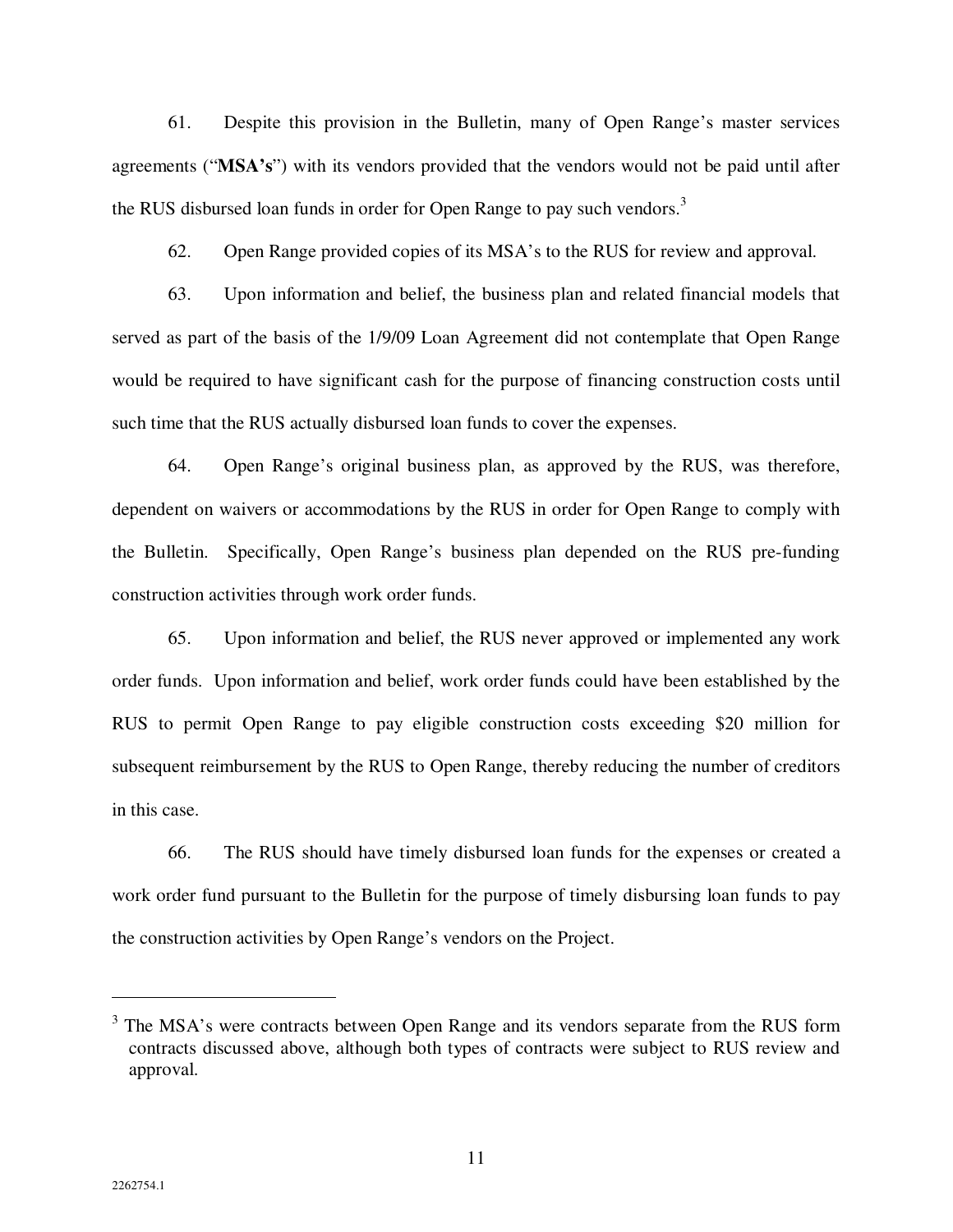61. Despite this provision in the Bulletin, many of Open Range's master services agreements ("**MSA's**") with its vendors provided that the vendors would not be paid until after the RUS disbursed loan funds in order for Open Range to pay such vendors.<sup>3</sup>

62. Open Range provided copies of its MSA's to the RUS for review and approval.

63. Upon information and belief, the business plan and related financial models that served as part of the basis of the 1/9/09 Loan Agreement did not contemplate that Open Range would be required to have significant cash for the purpose of financing construction costs until such time that the RUS actually disbursed loan funds to cover the expenses.

64. Open Range's original business plan, as approved by the RUS, was therefore, dependent on waivers or accommodations by the RUS in order for Open Range to comply with the Bulletin. Specifically, Open Range's business plan depended on the RUS pre-funding construction activities through work order funds.

65. Upon information and belief, the RUS never approved or implemented any work order funds. Upon information and belief, work order funds could have been established by the RUS to permit Open Range to pay eligible construction costs exceeding \$20 million for subsequent reimbursement by the RUS to Open Range, thereby reducing the number of creditors in this case.

66. The RUS should have timely disbursed loan funds for the expenses or created a work order fund pursuant to the Bulletin for the purpose of timely disbursing loan funds to pay the construction activities by Open Range's vendors on the Project.

 $\overline{a}$ 

<sup>&</sup>lt;sup>3</sup> The MSA's were contracts between Open Range and its vendors separate from the RUS form contracts discussed above, although both types of contracts were subject to RUS review and approval.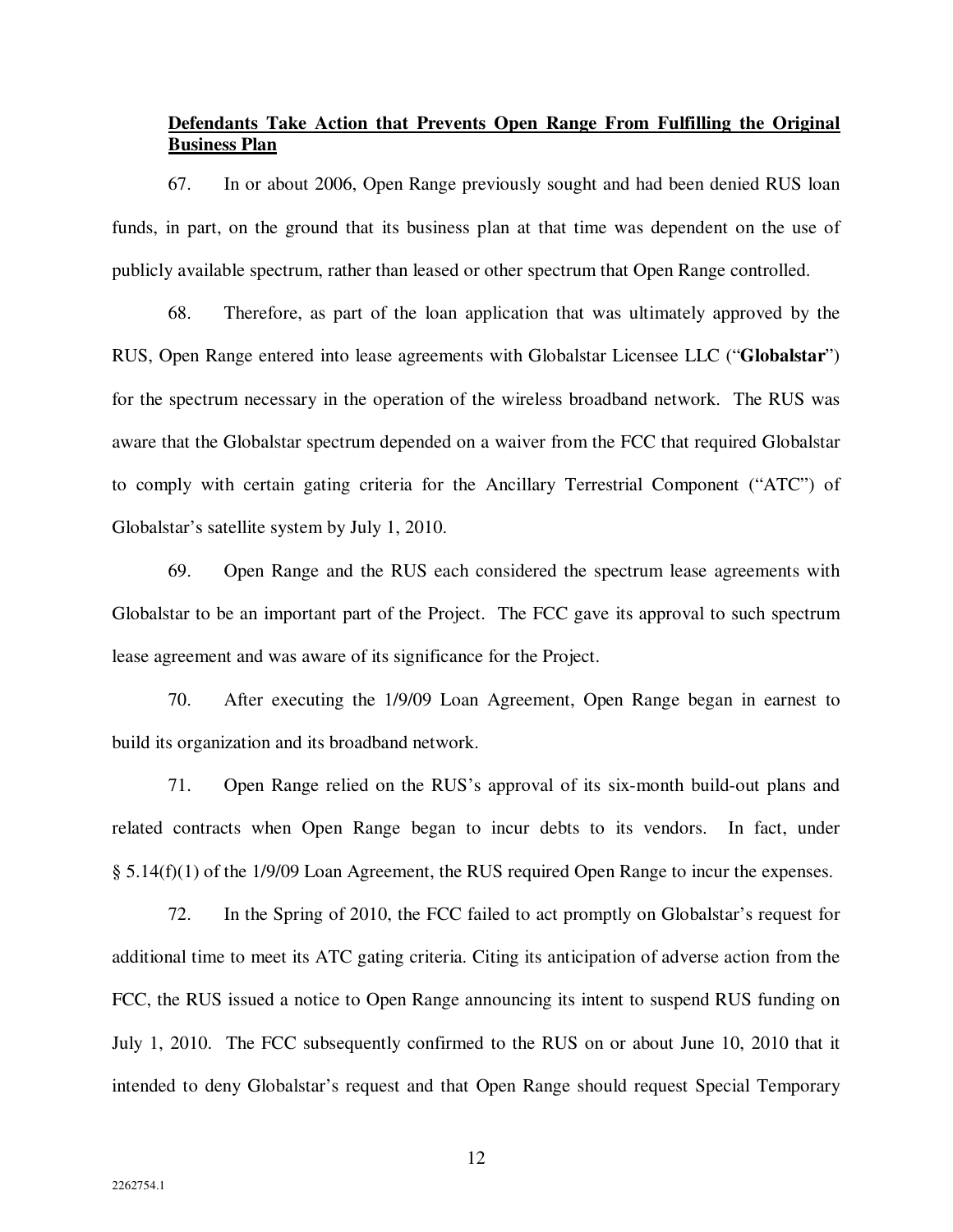# **Defendants Take Action that Prevents Open Range From Fulfilling the Original Business Plan**

67. In or about 2006, Open Range previously sought and had been denied RUS loan funds, in part, on the ground that its business plan at that time was dependent on the use of publicly available spectrum, rather than leased or other spectrum that Open Range controlled.

68. Therefore, as part of the loan application that was ultimately approved by the RUS, Open Range entered into lease agreements with Globalstar Licensee LLC ("**Globalstar**") for the spectrum necessary in the operation of the wireless broadband network. The RUS was aware that the Globalstar spectrum depended on a waiver from the FCC that required Globalstar to comply with certain gating criteria for the Ancillary Terrestrial Component ("ATC") of Globalstar's satellite system by July 1, 2010.

69. Open Range and the RUS each considered the spectrum lease agreements with Globalstar to be an important part of the Project. The FCC gave its approval to such spectrum lease agreement and was aware of its significance for the Project.

70. After executing the 1/9/09 Loan Agreement, Open Range began in earnest to build its organization and its broadband network.

71. Open Range relied on the RUS's approval of its six-month build-out plans and related contracts when Open Range began to incur debts to its vendors. In fact, under § 5.14(f)(1) of the 1/9/09 Loan Agreement, the RUS required Open Range to incur the expenses.

72. In the Spring of 2010, the FCC failed to act promptly on Globalstar's request for additional time to meet its ATC gating criteria. Citing its anticipation of adverse action from the FCC, the RUS issued a notice to Open Range announcing its intent to suspend RUS funding on July 1, 2010. The FCC subsequently confirmed to the RUS on or about June 10, 2010 that it intended to deny Globalstar's request and that Open Range should request Special Temporary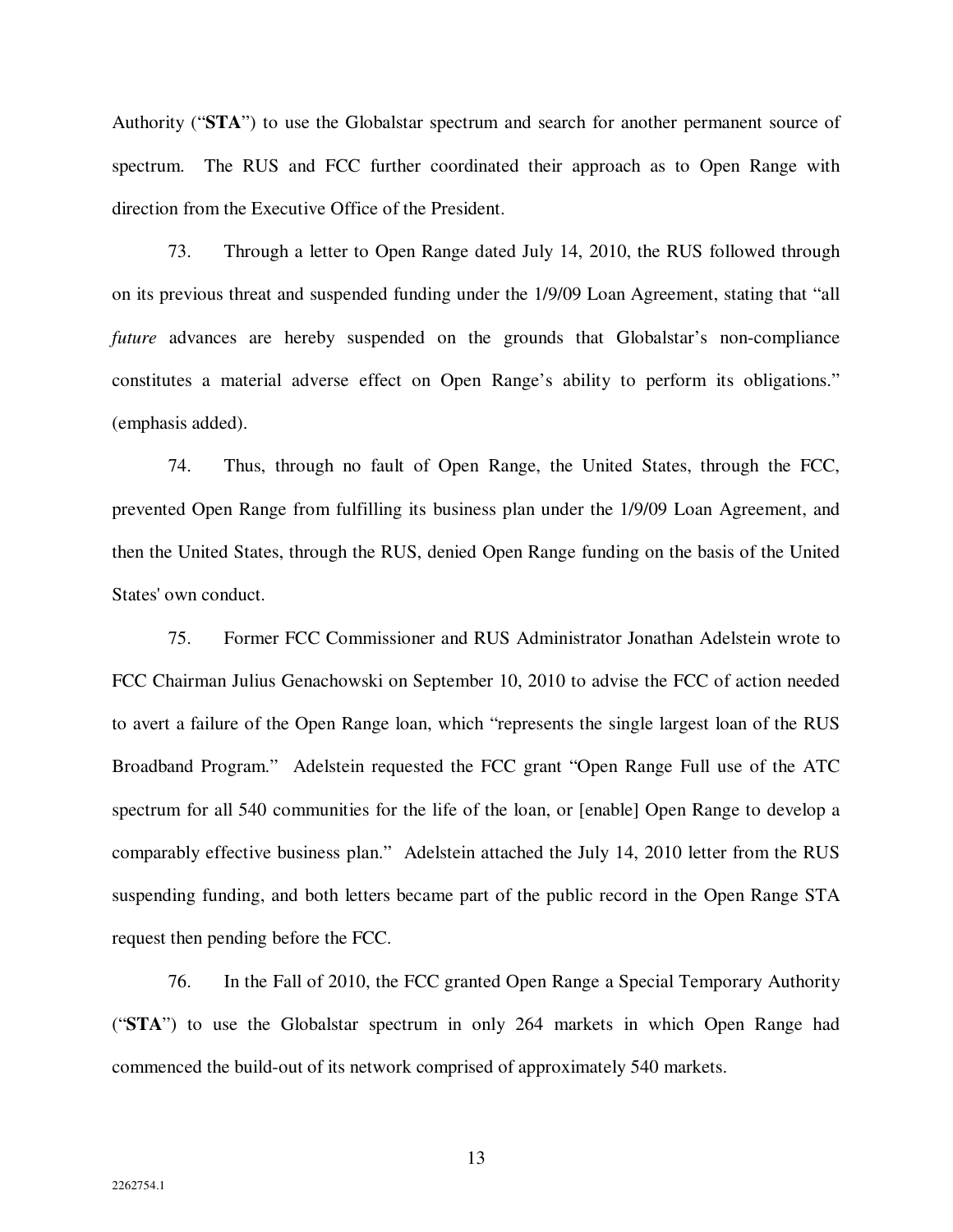Authority ("**STA**") to use the Globalstar spectrum and search for another permanent source of spectrum. The RUS and FCC further coordinated their approach as to Open Range with direction from the Executive Office of the President.

73. Through a letter to Open Range dated July 14, 2010, the RUS followed through on its previous threat and suspended funding under the 1/9/09 Loan Agreement, stating that "all *future* advances are hereby suspended on the grounds that Globalstar's non-compliance constitutes a material adverse effect on Open Range's ability to perform its obligations." (emphasis added).

74. Thus, through no fault of Open Range, the United States, through the FCC, prevented Open Range from fulfilling its business plan under the 1/9/09 Loan Agreement, and then the United States, through the RUS, denied Open Range funding on the basis of the United States' own conduct.

75. Former FCC Commissioner and RUS Administrator Jonathan Adelstein wrote to FCC Chairman Julius Genachowski on September 10, 2010 to advise the FCC of action needed to avert a failure of the Open Range loan, which "represents the single largest loan of the RUS Broadband Program." Adelstein requested the FCC grant "Open Range Full use of the ATC spectrum for all 540 communities for the life of the loan, or [enable] Open Range to develop a comparably effective business plan." Adelstein attached the July 14, 2010 letter from the RUS suspending funding, and both letters became part of the public record in the Open Range STA request then pending before the FCC.

76. In the Fall of 2010, the FCC granted Open Range a Special Temporary Authority ("**STA**") to use the Globalstar spectrum in only 264 markets in which Open Range had commenced the build-out of its network comprised of approximately 540 markets.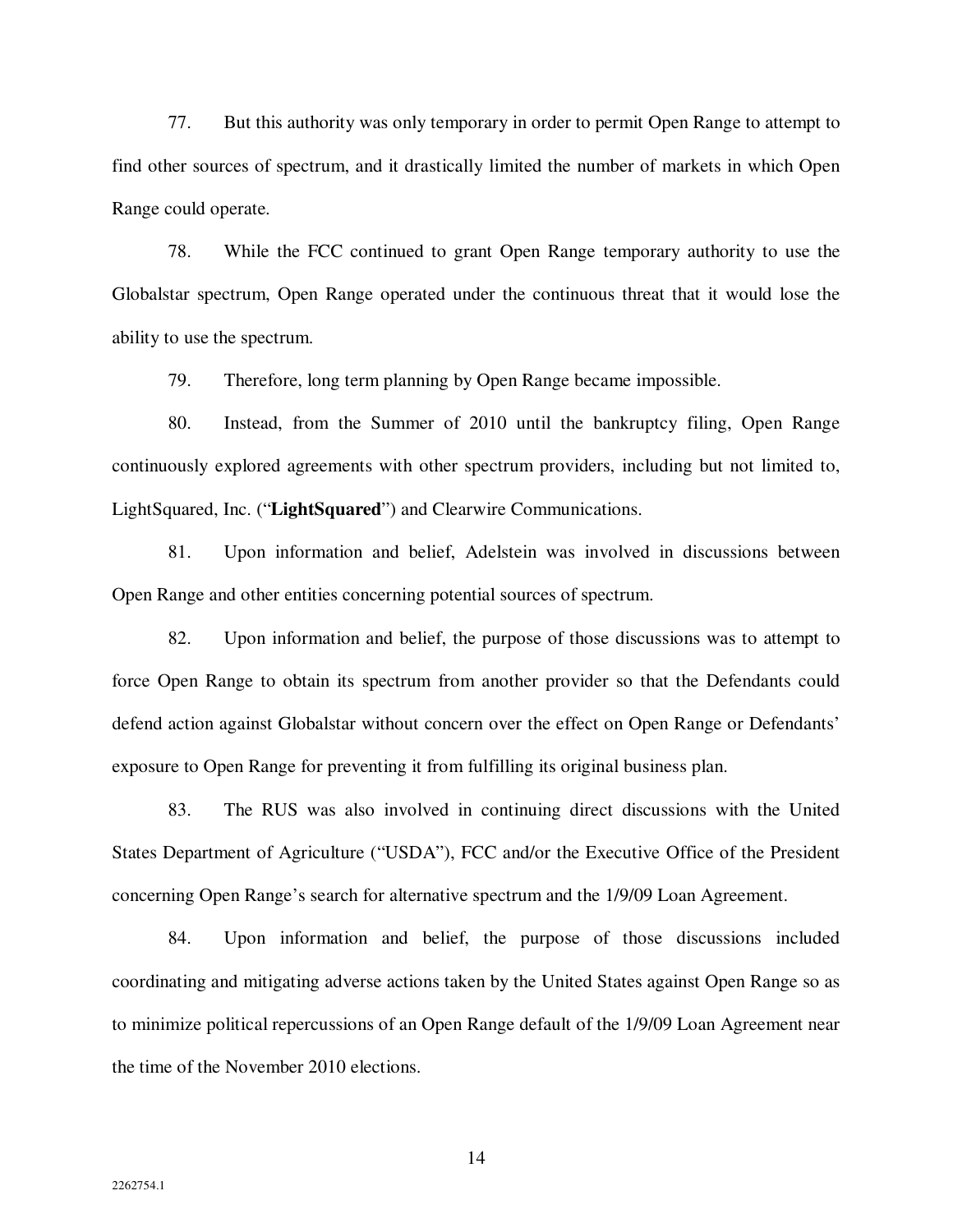77. But this authority was only temporary in order to permit Open Range to attempt to find other sources of spectrum, and it drastically limited the number of markets in which Open Range could operate.

78. While the FCC continued to grant Open Range temporary authority to use the Globalstar spectrum, Open Range operated under the continuous threat that it would lose the ability to use the spectrum.

79. Therefore, long term planning by Open Range became impossible.

80. Instead, from the Summer of 2010 until the bankruptcy filing, Open Range continuously explored agreements with other spectrum providers, including but not limited to, LightSquared, Inc. ("**LightSquared**") and Clearwire Communications.

81. Upon information and belief, Adelstein was involved in discussions between Open Range and other entities concerning potential sources of spectrum.

82. Upon information and belief, the purpose of those discussions was to attempt to force Open Range to obtain its spectrum from another provider so that the Defendants could defend action against Globalstar without concern over the effect on Open Range or Defendants' exposure to Open Range for preventing it from fulfilling its original business plan.

83. The RUS was also involved in continuing direct discussions with the United States Department of Agriculture ("USDA"), FCC and/or the Executive Office of the President concerning Open Range's search for alternative spectrum and the 1/9/09 Loan Agreement.

84. Upon information and belief, the purpose of those discussions included coordinating and mitigating adverse actions taken by the United States against Open Range so as to minimize political repercussions of an Open Range default of the 1/9/09 Loan Agreement near the time of the November 2010 elections.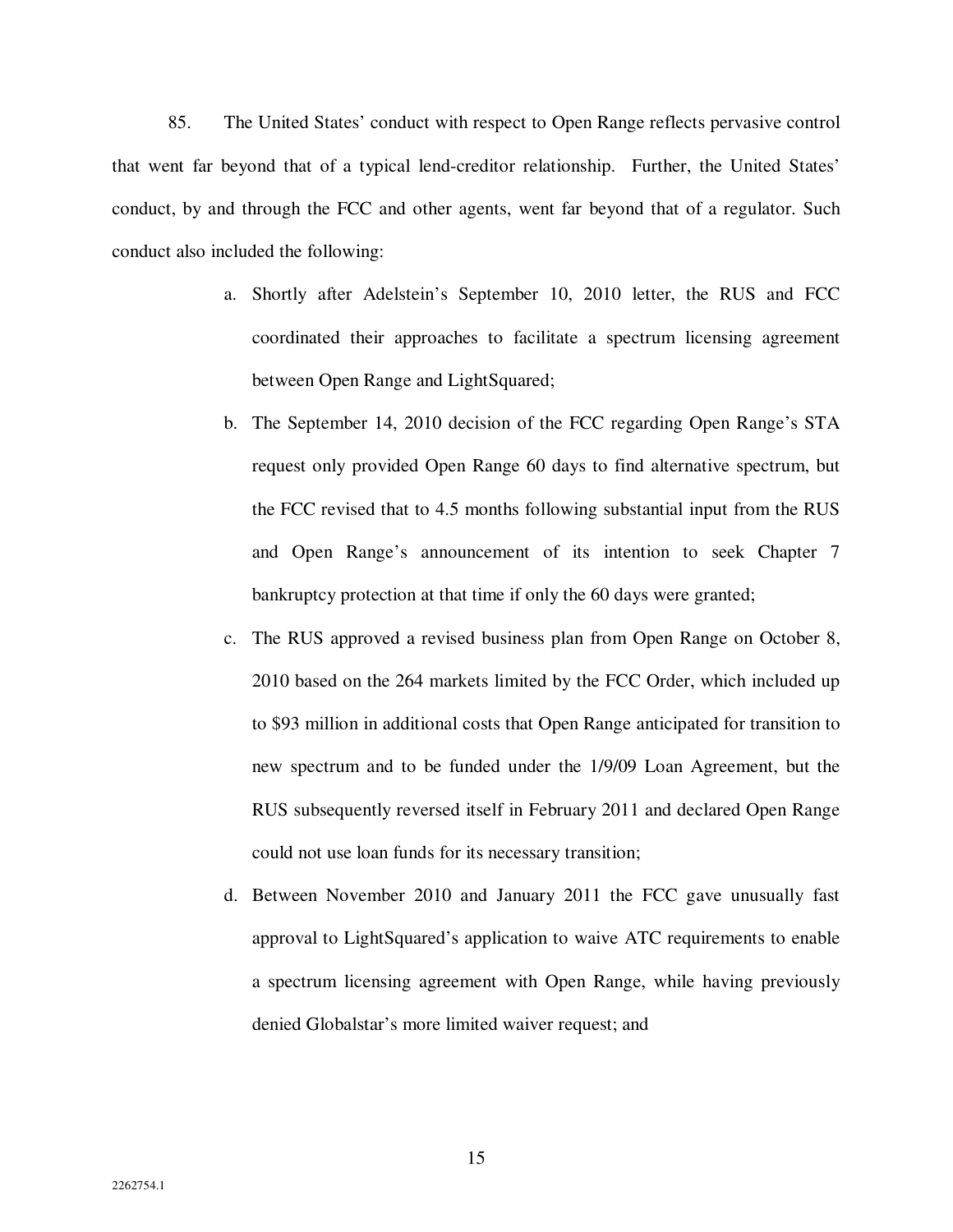85. The United States' conduct with respect to Open Range reflects pervasive control that went far beyond that of a typical lend-creditor relationship. Further, the United States' conduct, by and through the FCC and other agents, went far beyond that of a regulator. Such conduct also included the following:

- a. Shortly after Adelstein's September 10, 2010 letter, the RUS and FCC coordinated their approaches to facilitate a spectrum licensing agreement between Open Range and LightSquared;
- b. The September 14, 2010 decision of the FCC regarding Open Range's STA request only provided Open Range 60 days to find alternative spectrum, but the FCC revised that to 4.5 months following substantial input from the RUS and Open Range's announcement of its intention to seek Chapter 7 bankruptcy protection at that time if only the 60 days were granted;
- c. The RUS approved a revised business plan from Open Range on October 8, 2010 based on the 264 markets limited by the FCC Order, which included up to \$93 million in additional costs that Open Range anticipated for transition to new spectrum and to be funded under the 1/9/09 Loan Agreement, but the RUS subsequently reversed itself in February 2011 and declared Open Range could not use loan funds for its necessary transition;
- d. Between November 2010 and January 2011 the FCC gave unusually fast approval to LightSquared's application to waive ATC requirements to enable a spectrum licensing agreement with Open Range, while having previously denied Globalstar's more limited waiver request; and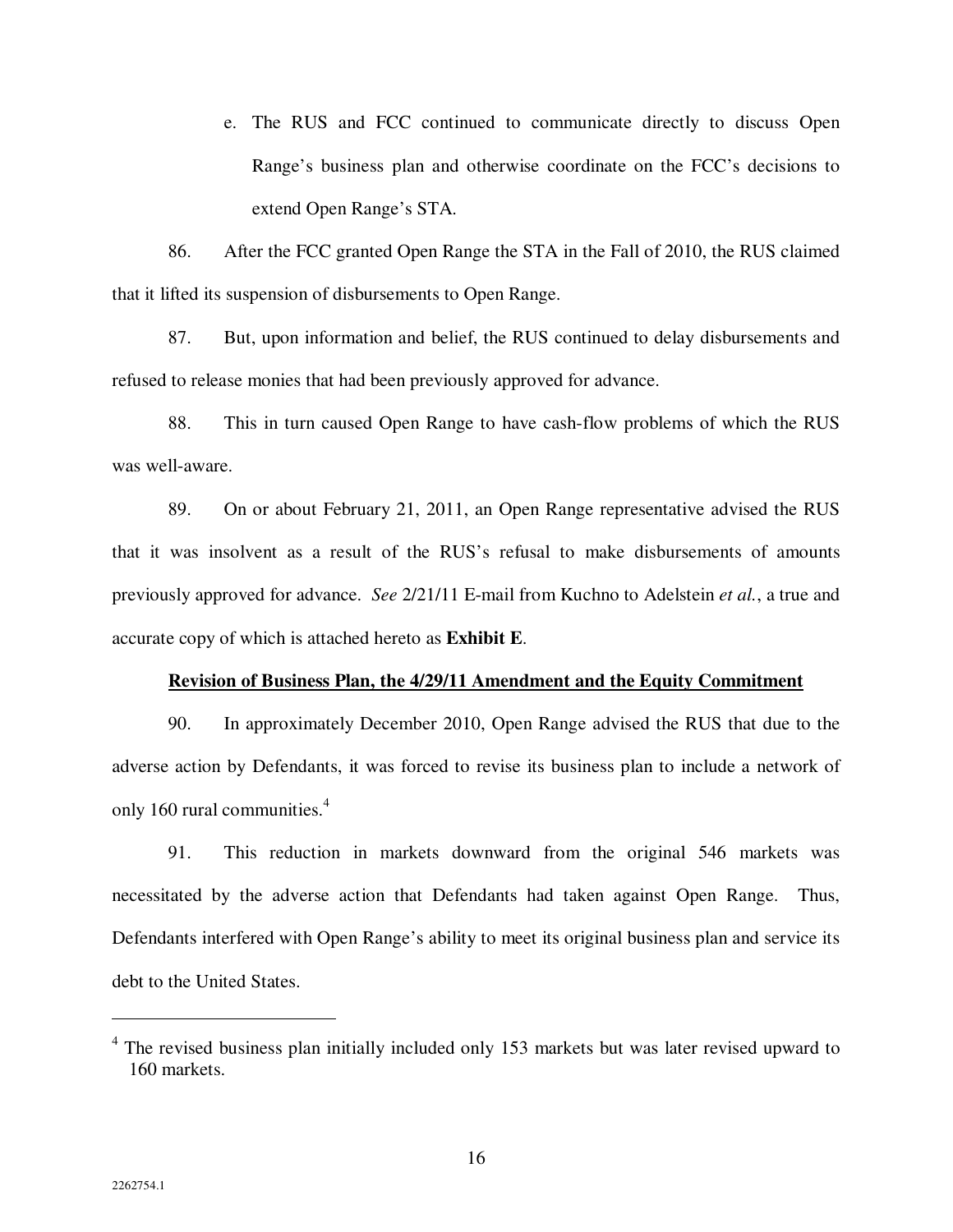e. The RUS and FCC continued to communicate directly to discuss Open Range's business plan and otherwise coordinate on the FCC's decisions to extend Open Range's STA.

86. After the FCC granted Open Range the STA in the Fall of 2010, the RUS claimed that it lifted its suspension of disbursements to Open Range.

87. But, upon information and belief, the RUS continued to delay disbursements and refused to release monies that had been previously approved for advance.

88. This in turn caused Open Range to have cash-flow problems of which the RUS was well-aware.

89. On or about February 21, 2011, an Open Range representative advised the RUS that it was insolvent as a result of the RUS's refusal to make disbursements of amounts previously approved for advance. *See* 2/21/11 E-mail from Kuchno to Adelstein *et al.*, a true and accurate copy of which is attached hereto as **Exhibit E**.

#### **Revision of Business Plan, the 4/29/11 Amendment and the Equity Commitment**

90. In approximately December 2010, Open Range advised the RUS that due to the adverse action by Defendants, it was forced to revise its business plan to include a network of only 160 rural communities.<sup>4</sup>

91. This reduction in markets downward from the original 546 markets was necessitated by the adverse action that Defendants had taken against Open Range. Thus, Defendants interfered with Open Range's ability to meet its original business plan and service its debt to the United States.

 $\overline{a}$ 

<sup>&</sup>lt;sup>4</sup> The revised business plan initially included only 153 markets but was later revised upward to 160 markets.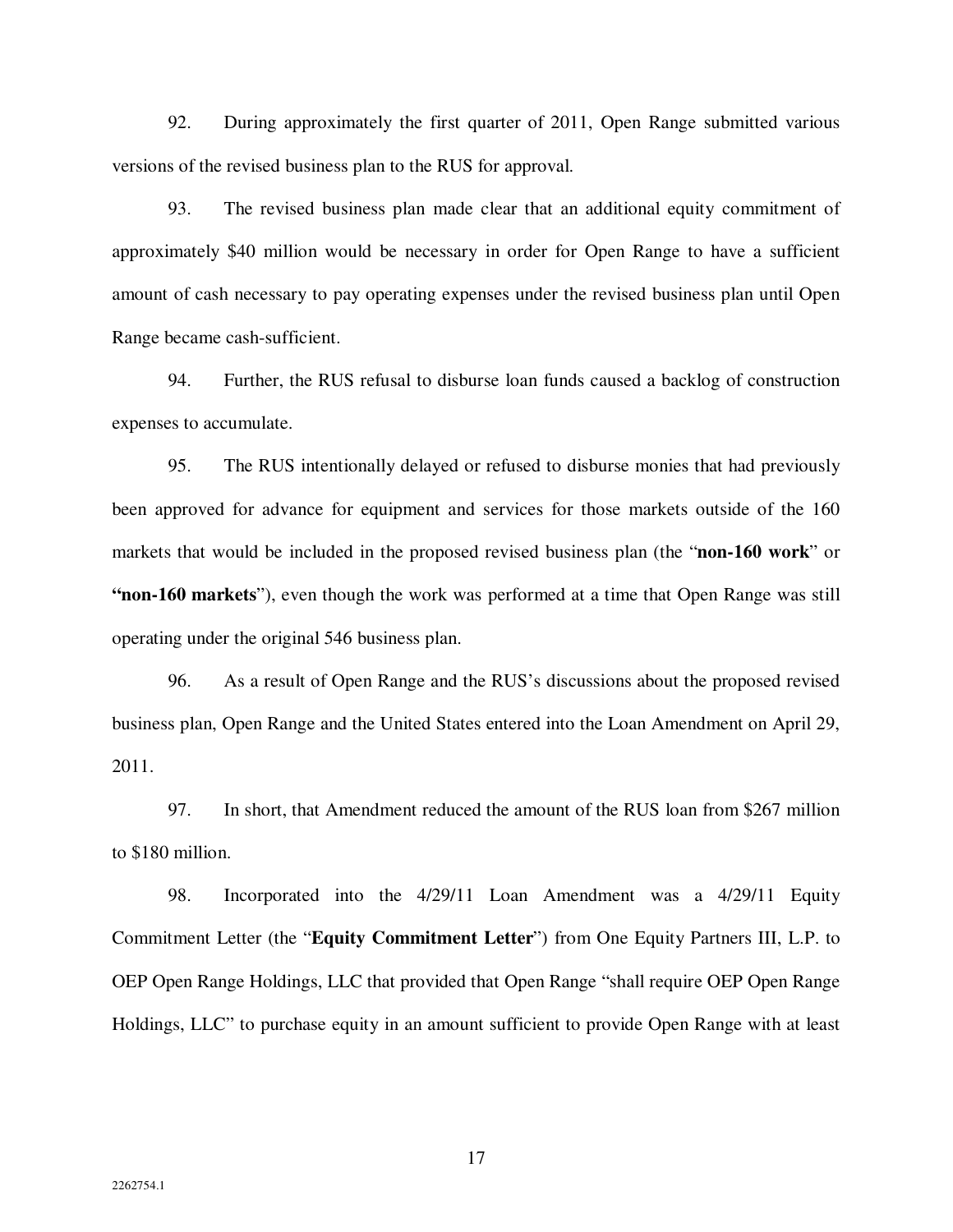92. During approximately the first quarter of 2011, Open Range submitted various versions of the revised business plan to the RUS for approval.

93. The revised business plan made clear that an additional equity commitment of approximately \$40 million would be necessary in order for Open Range to have a sufficient amount of cash necessary to pay operating expenses under the revised business plan until Open Range became cash-sufficient.

94. Further, the RUS refusal to disburse loan funds caused a backlog of construction expenses to accumulate.

95. The RUS intentionally delayed or refused to disburse monies that had previously been approved for advance for equipment and services for those markets outside of the 160 markets that would be included in the proposed revised business plan (the "**non-160 work**" or **"non-160 markets**"), even though the work was performed at a time that Open Range was still operating under the original 546 business plan.

96. As a result of Open Range and the RUS's discussions about the proposed revised business plan, Open Range and the United States entered into the Loan Amendment on April 29, 2011.

97. In short, that Amendment reduced the amount of the RUS loan from \$267 million to \$180 million.

98. Incorporated into the 4/29/11 Loan Amendment was a 4/29/11 Equity Commitment Letter (the "**Equity Commitment Letter**") from One Equity Partners III, L.P. to OEP Open Range Holdings, LLC that provided that Open Range "shall require OEP Open Range Holdings, LLC" to purchase equity in an amount sufficient to provide Open Range with at least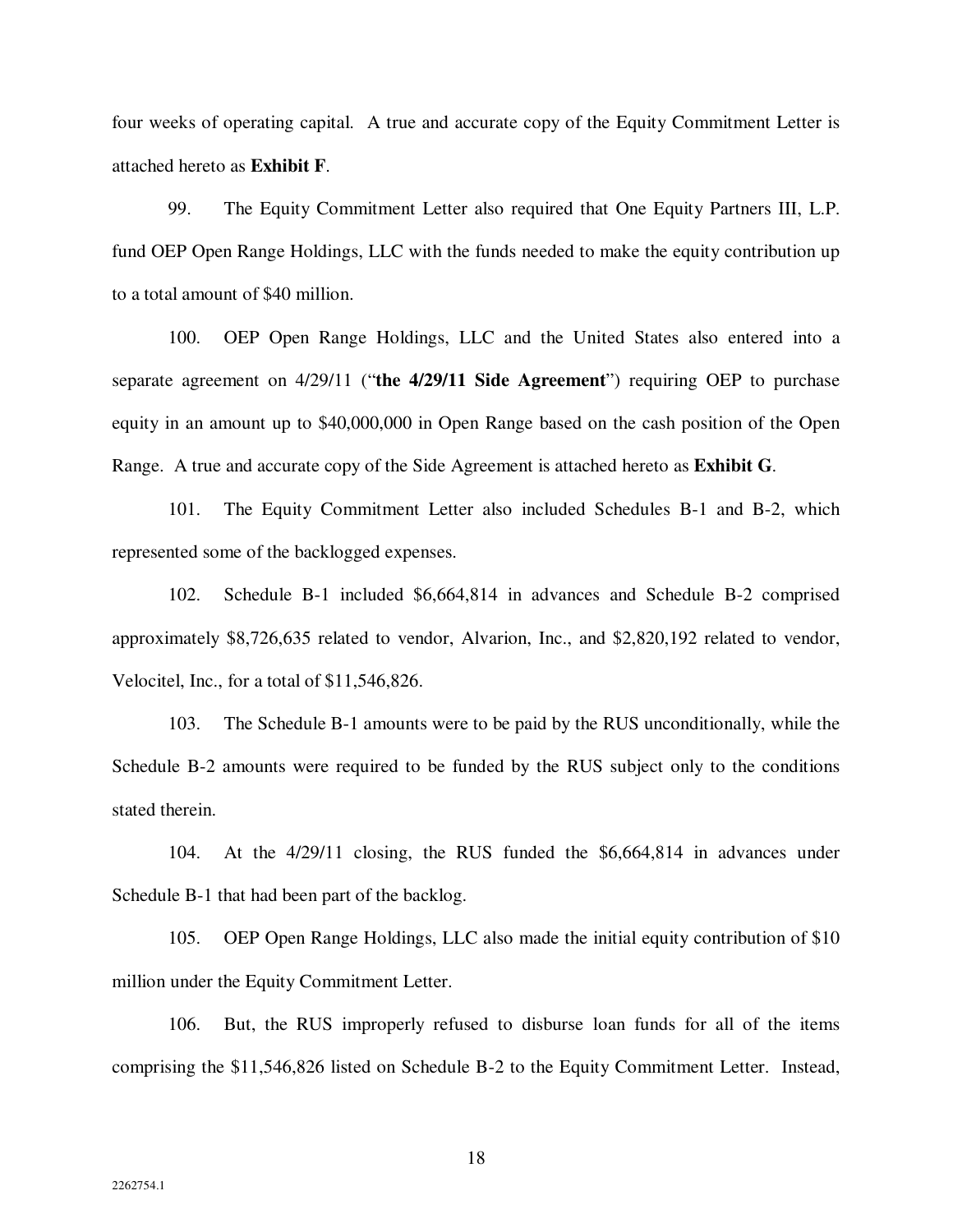four weeks of operating capital. A true and accurate copy of the Equity Commitment Letter is attached hereto as **Exhibit F**.

99. The Equity Commitment Letter also required that One Equity Partners III, L.P. fund OEP Open Range Holdings, LLC with the funds needed to make the equity contribution up to a total amount of \$40 million.

100. OEP Open Range Holdings, LLC and the United States also entered into a separate agreement on 4/29/11 ("**the 4/29/11 Side Agreement**") requiring OEP to purchase equity in an amount up to \$40,000,000 in Open Range based on the cash position of the Open Range. A true and accurate copy of the Side Agreement is attached hereto as **Exhibit G**.

101. The Equity Commitment Letter also included Schedules B-1 and B-2, which represented some of the backlogged expenses.

102. Schedule B-1 included \$6,664,814 in advances and Schedule B-2 comprised approximately \$8,726,635 related to vendor, Alvarion, Inc., and \$2,820,192 related to vendor, Velocitel, Inc., for a total of \$11,546,826.

103. The Schedule B-1 amounts were to be paid by the RUS unconditionally, while the Schedule B-2 amounts were required to be funded by the RUS subject only to the conditions stated therein.

104. At the 4/29/11 closing, the RUS funded the \$6,664,814 in advances under Schedule B-1 that had been part of the backlog.

105. OEP Open Range Holdings, LLC also made the initial equity contribution of \$10 million under the Equity Commitment Letter.

106. But, the RUS improperly refused to disburse loan funds for all of the items comprising the \$11,546,826 listed on Schedule B-2 to the Equity Commitment Letter. Instead,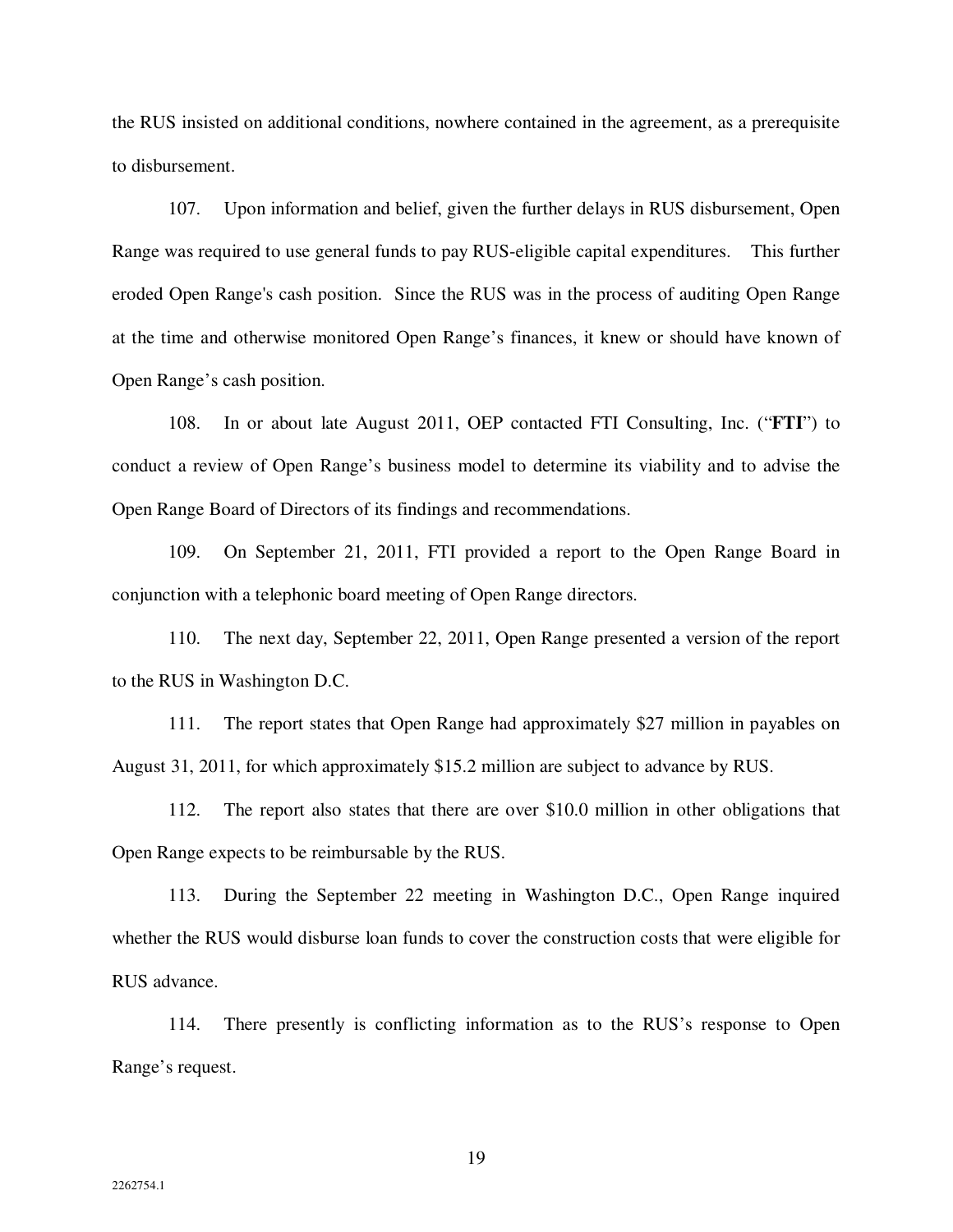the RUS insisted on additional conditions, nowhere contained in the agreement, as a prerequisite to disbursement.

107. Upon information and belief, given the further delays in RUS disbursement, Open Range was required to use general funds to pay RUS-eligible capital expenditures. This further eroded Open Range's cash position. Since the RUS was in the process of auditing Open Range at the time and otherwise monitored Open Range's finances, it knew or should have known of Open Range's cash position.

108. In or about late August 2011, OEP contacted FTI Consulting, Inc. ("**FTI**") to conduct a review of Open Range's business model to determine its viability and to advise the Open Range Board of Directors of its findings and recommendations.

109. On September 21, 2011, FTI provided a report to the Open Range Board in conjunction with a telephonic board meeting of Open Range directors.

110. The next day, September 22, 2011, Open Range presented a version of the report to the RUS in Washington D.C.

111. The report states that Open Range had approximately \$27 million in payables on August 31, 2011, for which approximately \$15.2 million are subject to advance by RUS.

112. The report also states that there are over \$10.0 million in other obligations that Open Range expects to be reimbursable by the RUS.

113. During the September 22 meeting in Washington D.C., Open Range inquired whether the RUS would disburse loan funds to cover the construction costs that were eligible for RUS advance.

114. There presently is conflicting information as to the RUS's response to Open Range's request.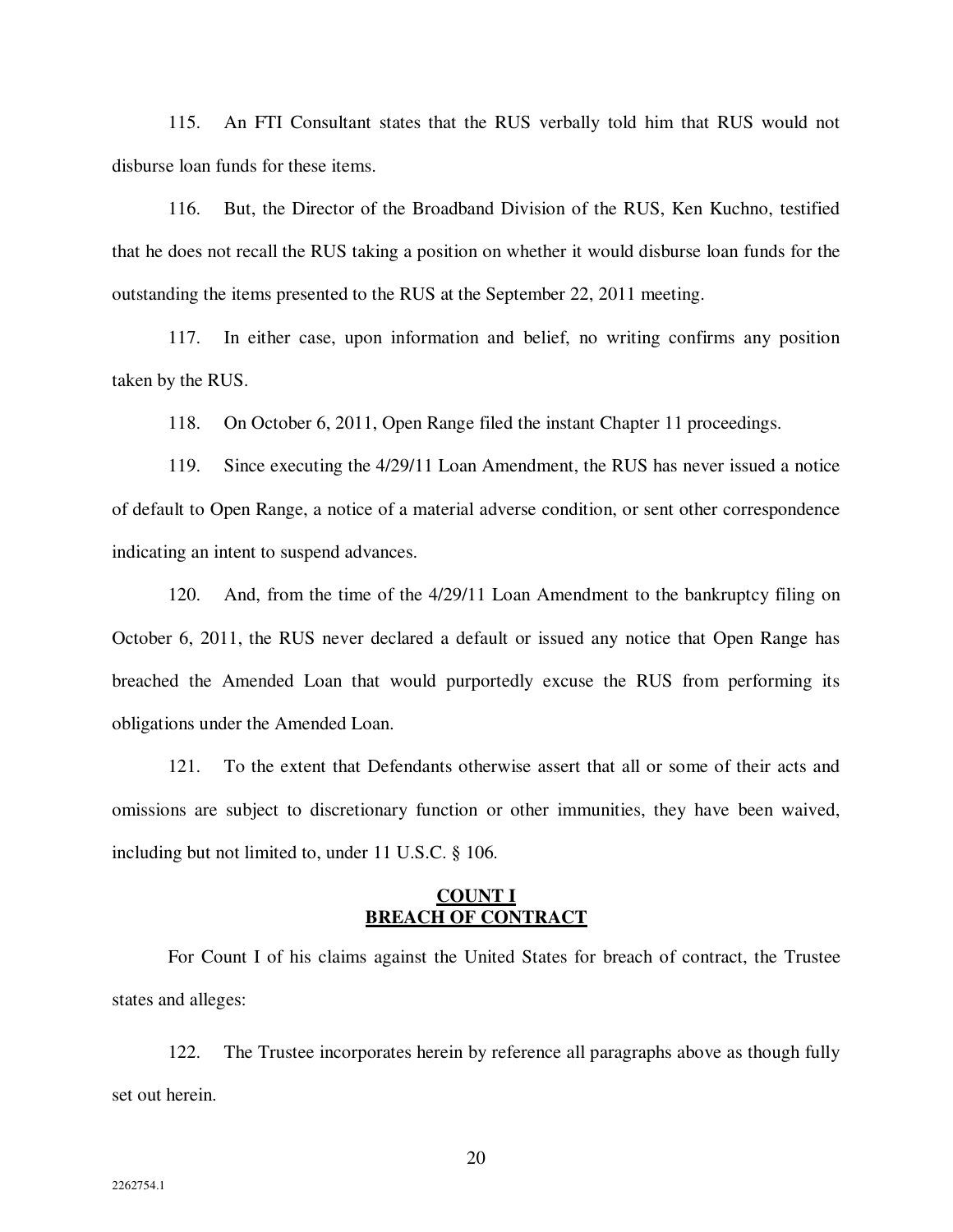115. An FTI Consultant states that the RUS verbally told him that RUS would not disburse loan funds for these items.

116. But, the Director of the Broadband Division of the RUS, Ken Kuchno, testified that he does not recall the RUS taking a position on whether it would disburse loan funds for the outstanding the items presented to the RUS at the September 22, 2011 meeting.

117. In either case, upon information and belief, no writing confirms any position taken by the RUS.

118. On October 6, 2011, Open Range filed the instant Chapter 11 proceedings.

119. Since executing the 4/29/11 Loan Amendment, the RUS has never issued a notice of default to Open Range, a notice of a material adverse condition, or sent other correspondence indicating an intent to suspend advances.

120. And, from the time of the 4/29/11 Loan Amendment to the bankruptcy filing on October 6, 2011, the RUS never declared a default or issued any notice that Open Range has breached the Amended Loan that would purportedly excuse the RUS from performing its obligations under the Amended Loan.

121. To the extent that Defendants otherwise assert that all or some of their acts and omissions are subject to discretionary function or other immunities, they have been waived, including but not limited to, under 11 U.S.C. § 106.

#### **COUNT I BREACH OF CONTRACT**

For Count I of his claims against the United States for breach of contract, the Trustee states and alleges:

122. The Trustee incorporates herein by reference all paragraphs above as though fully set out herein.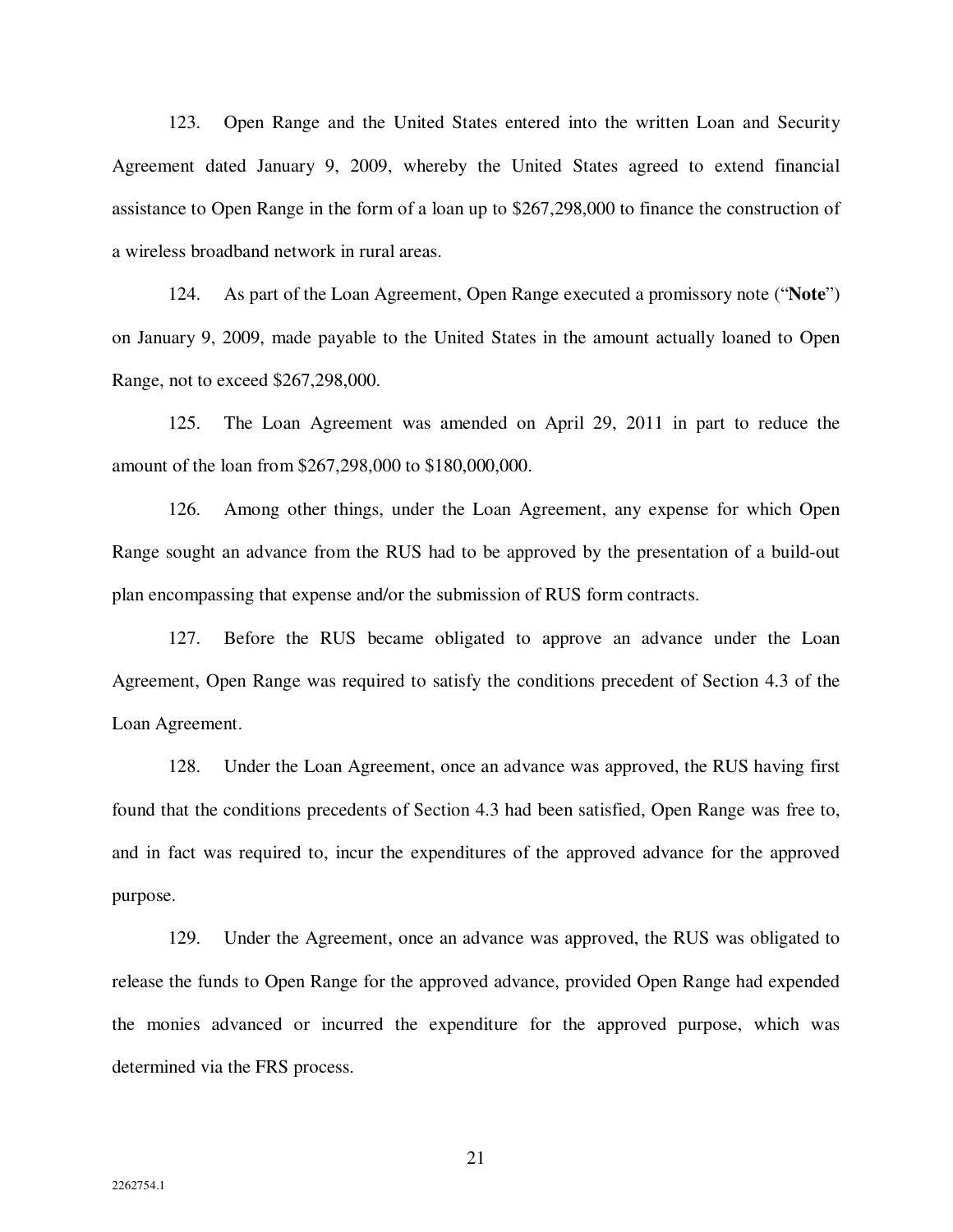123. Open Range and the United States entered into the written Loan and Security Agreement dated January 9, 2009, whereby the United States agreed to extend financial assistance to Open Range in the form of a loan up to \$267,298,000 to finance the construction of a wireless broadband network in rural areas.

124. As part of the Loan Agreement, Open Range executed a promissory note ("**Note**") on January 9, 2009, made payable to the United States in the amount actually loaned to Open Range, not to exceed \$267,298,000.

125. The Loan Agreement was amended on April 29, 2011 in part to reduce the amount of the loan from \$267,298,000 to \$180,000,000.

126. Among other things, under the Loan Agreement, any expense for which Open Range sought an advance from the RUS had to be approved by the presentation of a build-out plan encompassing that expense and/or the submission of RUS form contracts.

127. Before the RUS became obligated to approve an advance under the Loan Agreement, Open Range was required to satisfy the conditions precedent of Section 4.3 of the Loan Agreement.

128. Under the Loan Agreement, once an advance was approved, the RUS having first found that the conditions precedents of Section 4.3 had been satisfied, Open Range was free to, and in fact was required to, incur the expenditures of the approved advance for the approved purpose.

129. Under the Agreement, once an advance was approved, the RUS was obligated to release the funds to Open Range for the approved advance, provided Open Range had expended the monies advanced or incurred the expenditure for the approved purpose, which was determined via the FRS process.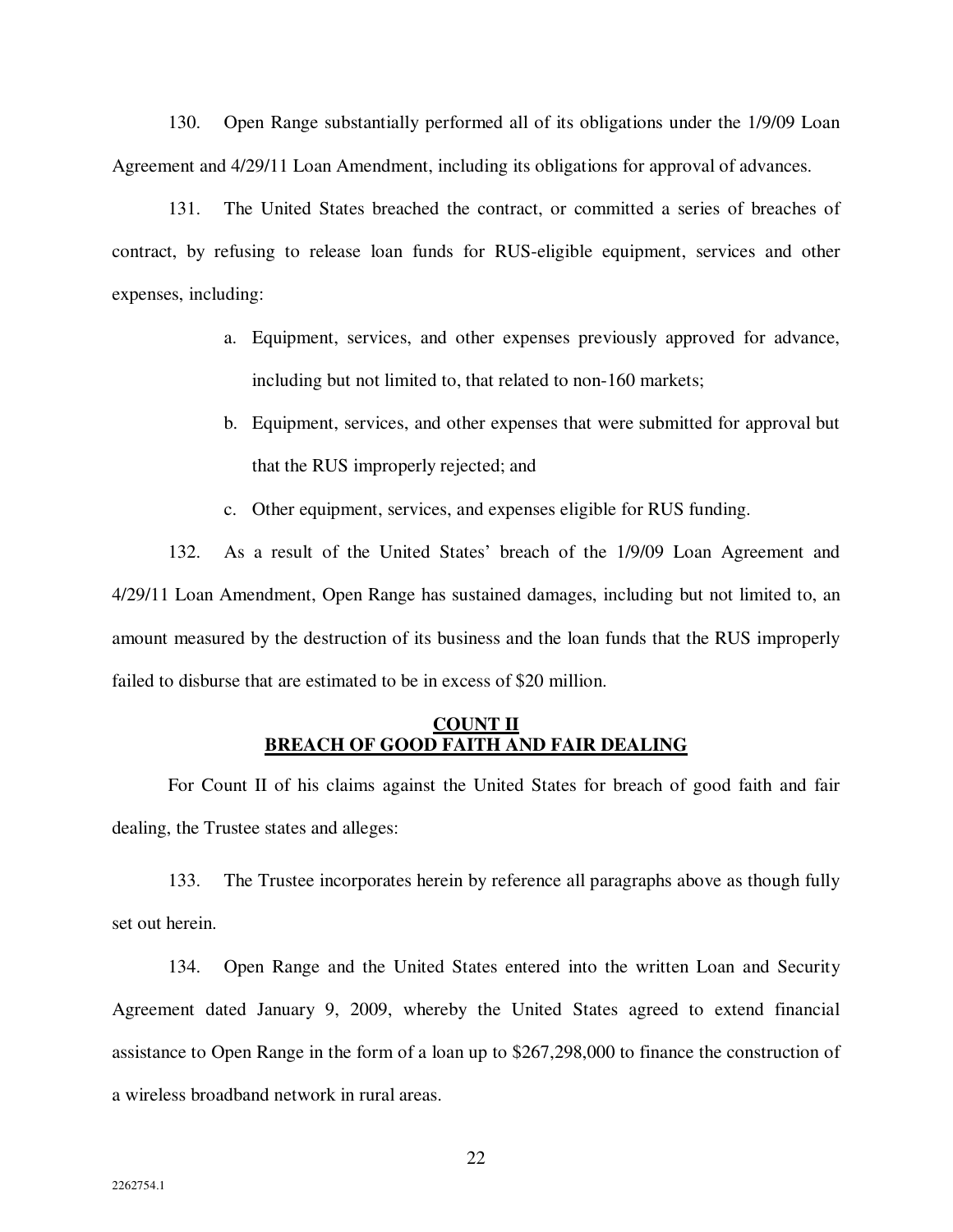130. Open Range substantially performed all of its obligations under the 1/9/09 Loan Agreement and 4/29/11 Loan Amendment, including its obligations for approval of advances.

131. The United States breached the contract, or committed a series of breaches of contract, by refusing to release loan funds for RUS-eligible equipment, services and other expenses, including:

- a. Equipment, services, and other expenses previously approved for advance, including but not limited to, that related to non-160 markets;
- b. Equipment, services, and other expenses that were submitted for approval but that the RUS improperly rejected; and
- c. Other equipment, services, and expenses eligible for RUS funding.

132. As a result of the United States' breach of the 1/9/09 Loan Agreement and 4/29/11 Loan Amendment, Open Range has sustained damages, including but not limited to, an amount measured by the destruction of its business and the loan funds that the RUS improperly failed to disburse that are estimated to be in excess of \$20 million.

### **COUNT II BREACH OF GOOD FAITH AND FAIR DEALING**

For Count II of his claims against the United States for breach of good faith and fair dealing, the Trustee states and alleges:

133. The Trustee incorporates herein by reference all paragraphs above as though fully set out herein.

134. Open Range and the United States entered into the written Loan and Security Agreement dated January 9, 2009, whereby the United States agreed to extend financial assistance to Open Range in the form of a loan up to \$267,298,000 to finance the construction of a wireless broadband network in rural areas.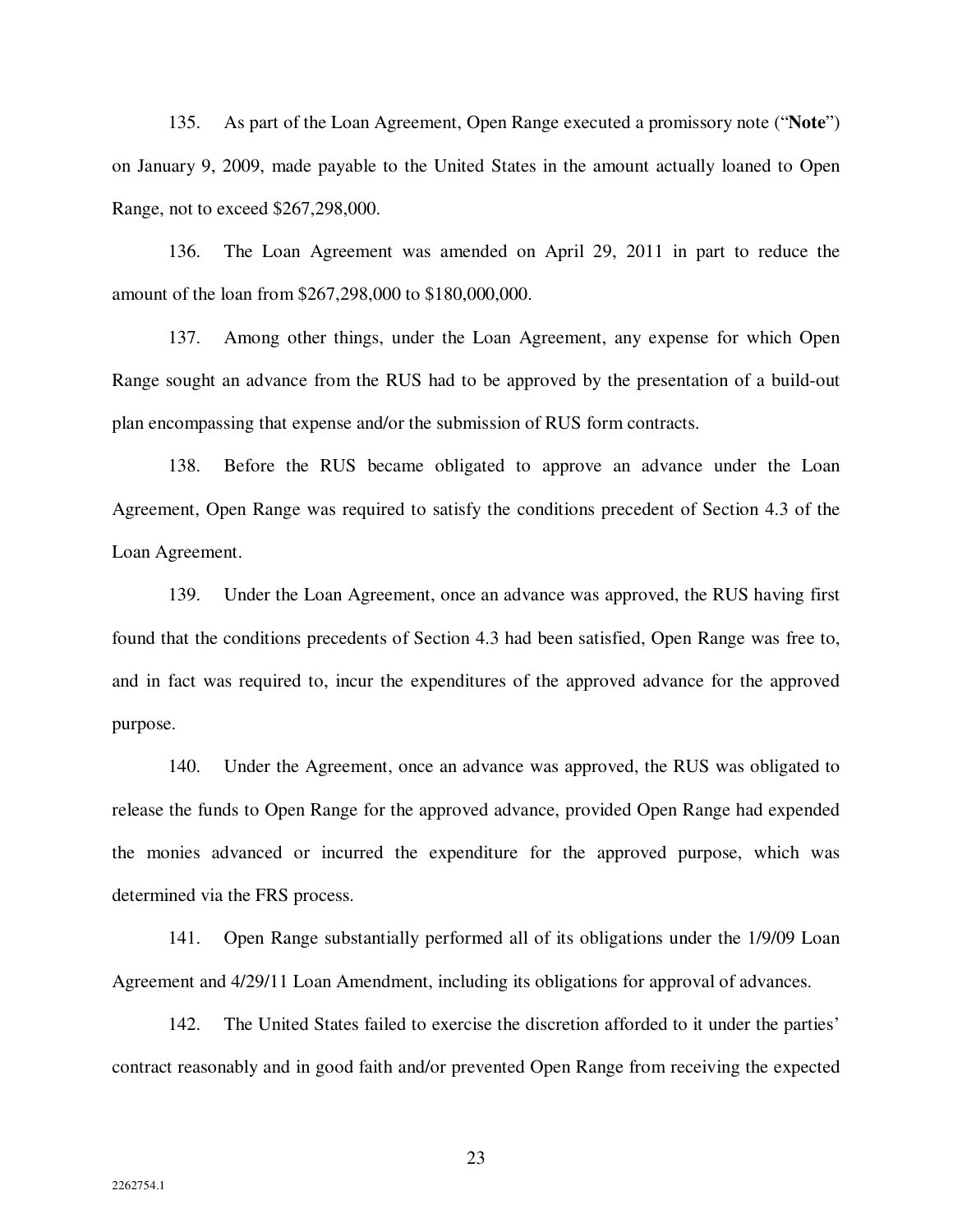135. As part of the Loan Agreement, Open Range executed a promissory note ("**Note**") on January 9, 2009, made payable to the United States in the amount actually loaned to Open Range, not to exceed \$267,298,000.

136. The Loan Agreement was amended on April 29, 2011 in part to reduce the amount of the loan from \$267,298,000 to \$180,000,000.

137. Among other things, under the Loan Agreement, any expense for which Open Range sought an advance from the RUS had to be approved by the presentation of a build-out plan encompassing that expense and/or the submission of RUS form contracts.

138. Before the RUS became obligated to approve an advance under the Loan Agreement, Open Range was required to satisfy the conditions precedent of Section 4.3 of the Loan Agreement.

139. Under the Loan Agreement, once an advance was approved, the RUS having first found that the conditions precedents of Section 4.3 had been satisfied, Open Range was free to, and in fact was required to, incur the expenditures of the approved advance for the approved purpose.

140. Under the Agreement, once an advance was approved, the RUS was obligated to release the funds to Open Range for the approved advance, provided Open Range had expended the monies advanced or incurred the expenditure for the approved purpose, which was determined via the FRS process.

141. Open Range substantially performed all of its obligations under the 1/9/09 Loan Agreement and 4/29/11 Loan Amendment, including its obligations for approval of advances.

142. The United States failed to exercise the discretion afforded to it under the parties' contract reasonably and in good faith and/or prevented Open Range from receiving the expected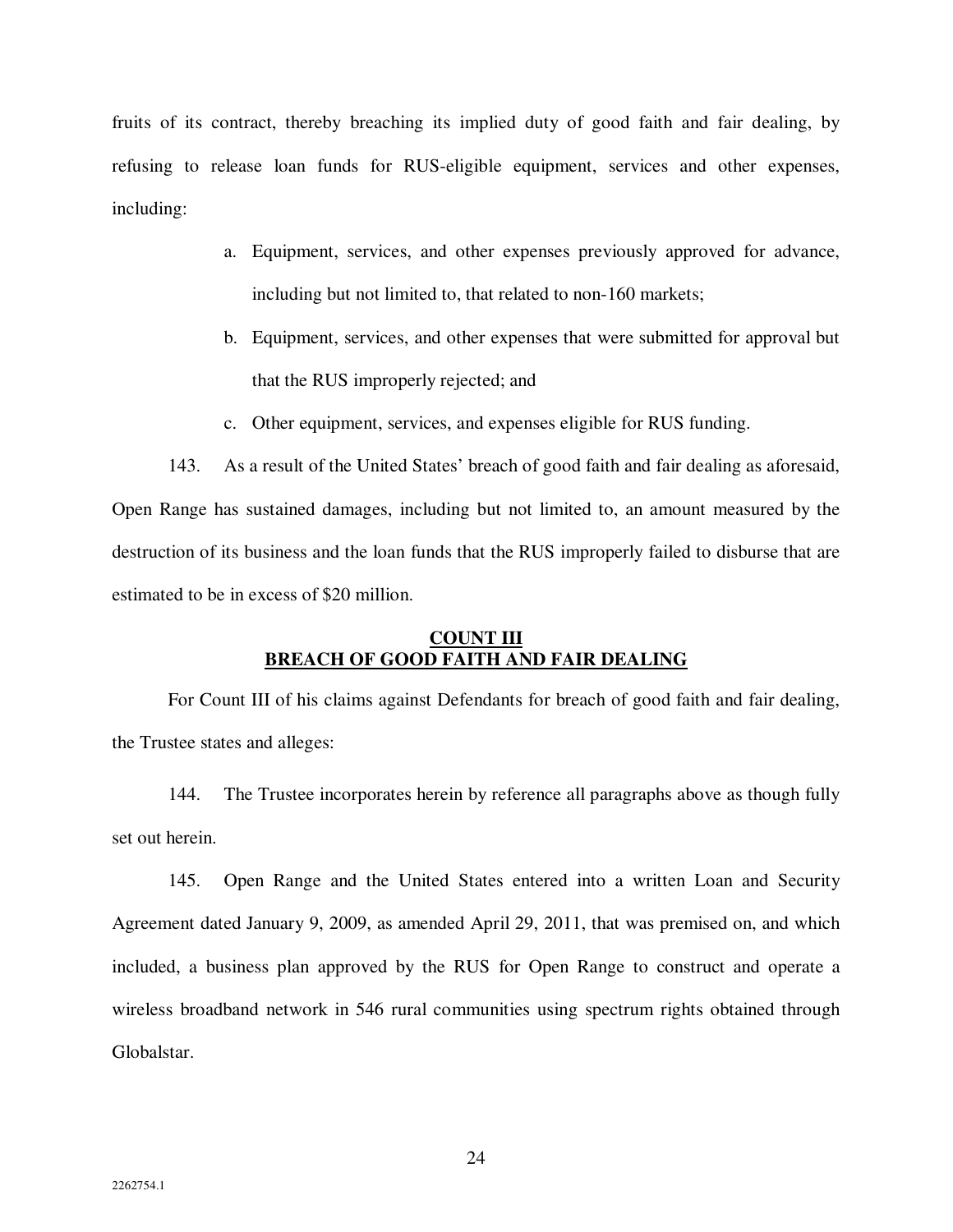fruits of its contract, thereby breaching its implied duty of good faith and fair dealing, by refusing to release loan funds for RUS-eligible equipment, services and other expenses, including:

- a. Equipment, services, and other expenses previously approved for advance, including but not limited to, that related to non-160 markets;
- b. Equipment, services, and other expenses that were submitted for approval but that the RUS improperly rejected; and
- c. Other equipment, services, and expenses eligible for RUS funding.

143. As a result of the United States' breach of good faith and fair dealing as aforesaid, Open Range has sustained damages, including but not limited to, an amount measured by the destruction of its business and the loan funds that the RUS improperly failed to disburse that are estimated to be in excess of \$20 million.

# **COUNT III BREACH OF GOOD FAITH AND FAIR DEALING**

For Count III of his claims against Defendants for breach of good faith and fair dealing, the Trustee states and alleges:

144. The Trustee incorporates herein by reference all paragraphs above as though fully set out herein.

145. Open Range and the United States entered into a written Loan and Security Agreement dated January 9, 2009, as amended April 29, 2011, that was premised on, and which included, a business plan approved by the RUS for Open Range to construct and operate a wireless broadband network in 546 rural communities using spectrum rights obtained through Globalstar.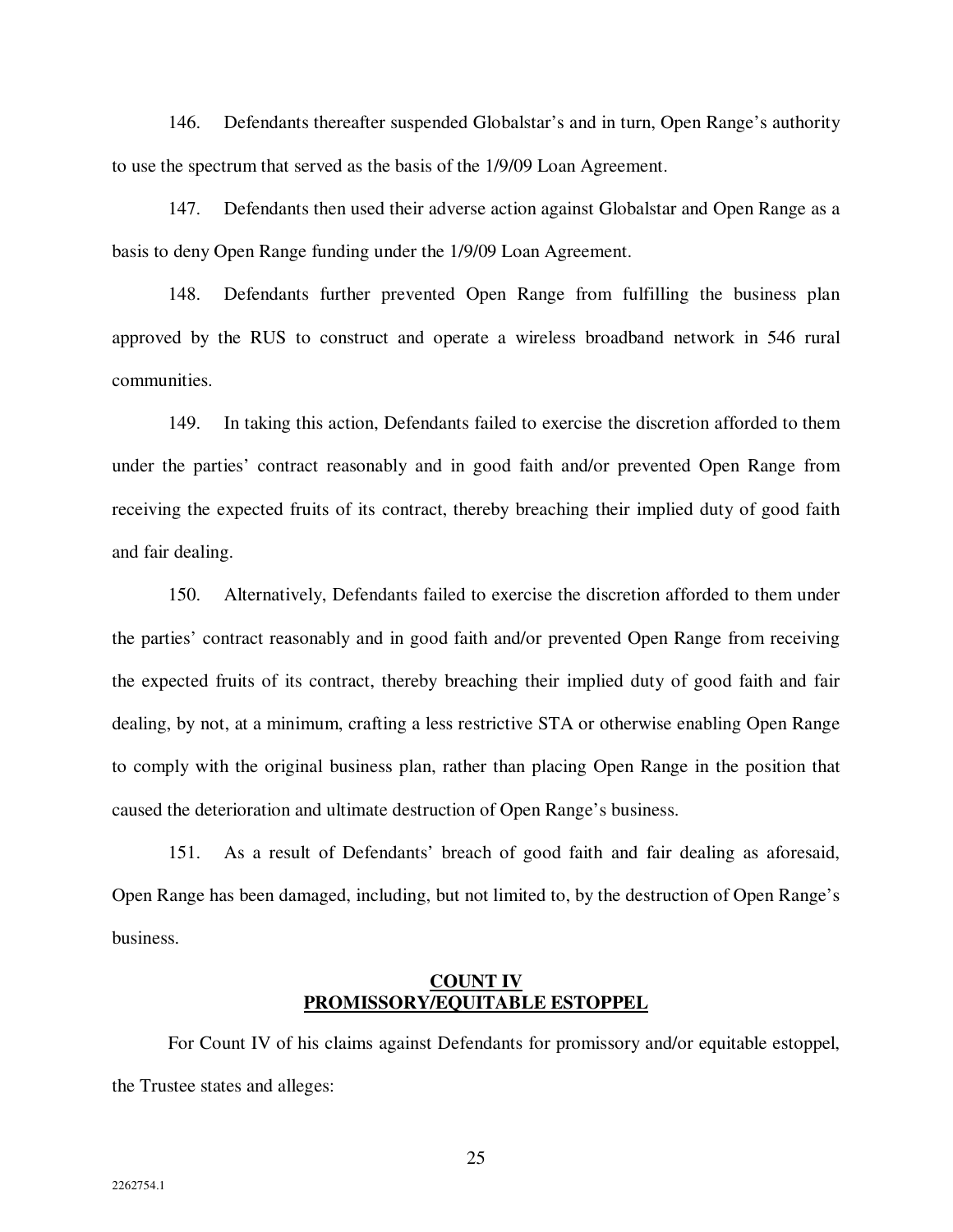146. Defendants thereafter suspended Globalstar's and in turn, Open Range's authority to use the spectrum that served as the basis of the 1/9/09 Loan Agreement.

147. Defendants then used their adverse action against Globalstar and Open Range as a basis to deny Open Range funding under the 1/9/09 Loan Agreement.

148. Defendants further prevented Open Range from fulfilling the business plan approved by the RUS to construct and operate a wireless broadband network in 546 rural communities.

149. In taking this action, Defendants failed to exercise the discretion afforded to them under the parties' contract reasonably and in good faith and/or prevented Open Range from receiving the expected fruits of its contract, thereby breaching their implied duty of good faith and fair dealing.

150. Alternatively, Defendants failed to exercise the discretion afforded to them under the parties' contract reasonably and in good faith and/or prevented Open Range from receiving the expected fruits of its contract, thereby breaching their implied duty of good faith and fair dealing, by not, at a minimum, crafting a less restrictive STA or otherwise enabling Open Range to comply with the original business plan, rather than placing Open Range in the position that caused the deterioration and ultimate destruction of Open Range's business.

151. As a result of Defendants' breach of good faith and fair dealing as aforesaid, Open Range has been damaged, including, but not limited to, by the destruction of Open Range's business.

### **COUNT IV PROMISSORY/EQUITABLE ESTOPPEL**

For Count IV of his claims against Defendants for promissory and/or equitable estoppel, the Trustee states and alleges: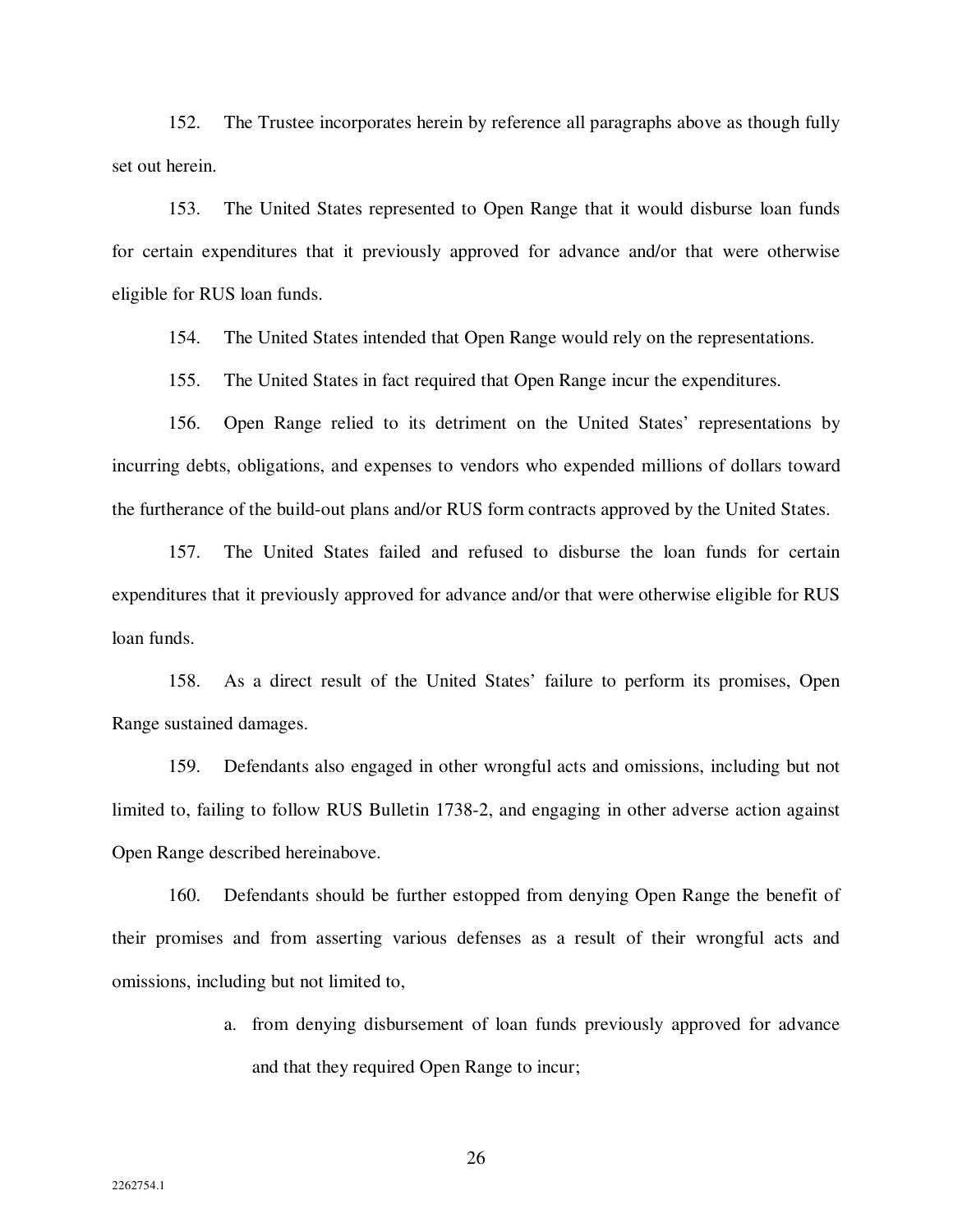152. The Trustee incorporates herein by reference all paragraphs above as though fully set out herein.

153. The United States represented to Open Range that it would disburse loan funds for certain expenditures that it previously approved for advance and/or that were otherwise eligible for RUS loan funds.

154. The United States intended that Open Range would rely on the representations.

155. The United States in fact required that Open Range incur the expenditures.

156. Open Range relied to its detriment on the United States' representations by incurring debts, obligations, and expenses to vendors who expended millions of dollars toward the furtherance of the build-out plans and/or RUS form contracts approved by the United States.

157. The United States failed and refused to disburse the loan funds for certain expenditures that it previously approved for advance and/or that were otherwise eligible for RUS loan funds.

158. As a direct result of the United States' failure to perform its promises, Open Range sustained damages.

159. Defendants also engaged in other wrongful acts and omissions, including but not limited to, failing to follow RUS Bulletin 1738-2, and engaging in other adverse action against Open Range described hereinabove.

160. Defendants should be further estopped from denying Open Range the benefit of their promises and from asserting various defenses as a result of their wrongful acts and omissions, including but not limited to,

> a. from denying disbursement of loan funds previously approved for advance and that they required Open Range to incur;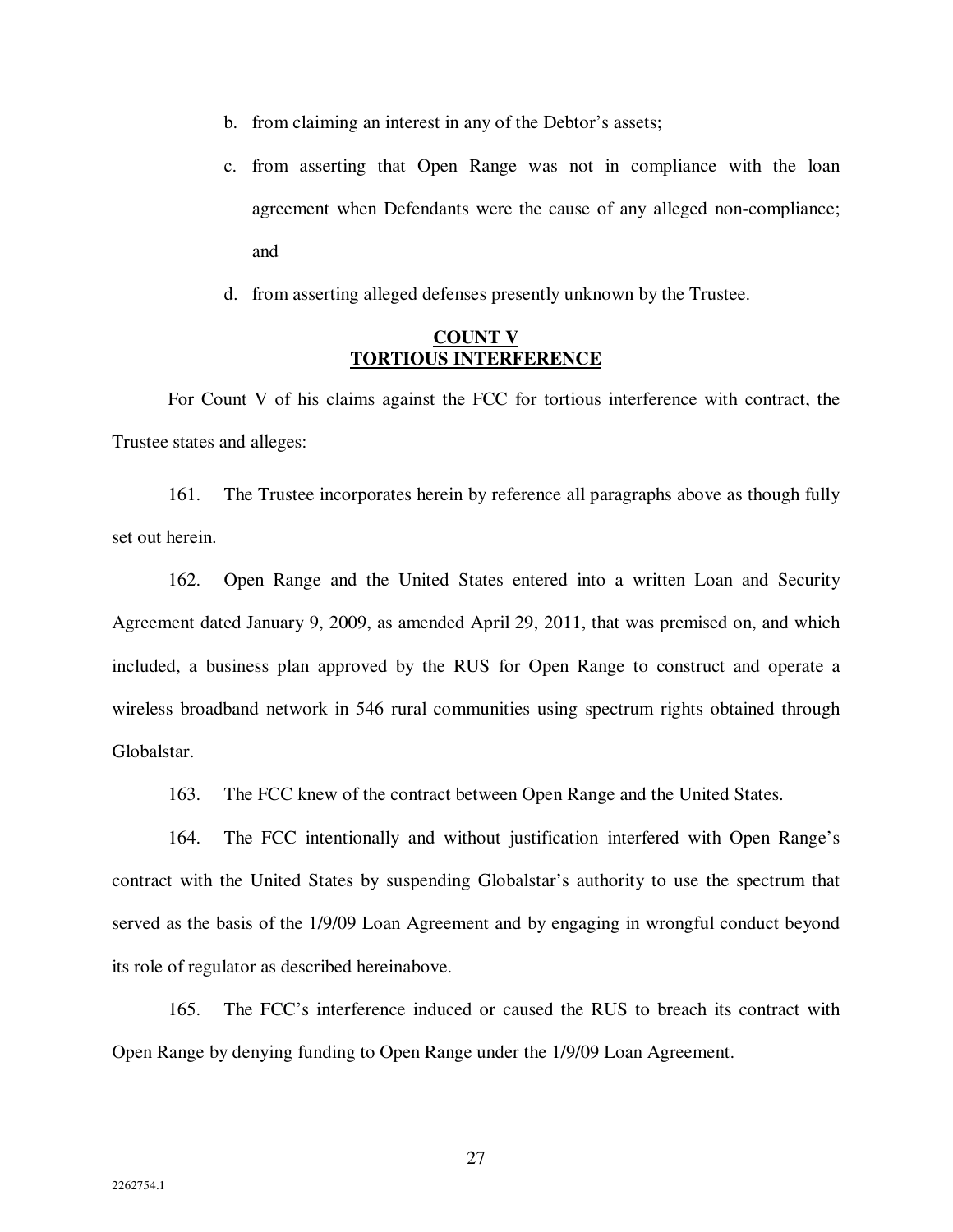- b. from claiming an interest in any of the Debtor's assets;
- c. from asserting that Open Range was not in compliance with the loan agreement when Defendants were the cause of any alleged non-compliance; and
- d. from asserting alleged defenses presently unknown by the Trustee.

### **COUNT V TORTIOUS INTERFERENCE**

For Count V of his claims against the FCC for tortious interference with contract, the Trustee states and alleges:

161. The Trustee incorporates herein by reference all paragraphs above as though fully set out herein.

162. Open Range and the United States entered into a written Loan and Security Agreement dated January 9, 2009, as amended April 29, 2011, that was premised on, and which included, a business plan approved by the RUS for Open Range to construct and operate a wireless broadband network in 546 rural communities using spectrum rights obtained through Globalstar.

163. The FCC knew of the contract between Open Range and the United States.

164. The FCC intentionally and without justification interfered with Open Range's contract with the United States by suspending Globalstar's authority to use the spectrum that served as the basis of the 1/9/09 Loan Agreement and by engaging in wrongful conduct beyond its role of regulator as described hereinabove.

165. The FCC's interference induced or caused the RUS to breach its contract with Open Range by denying funding to Open Range under the 1/9/09 Loan Agreement.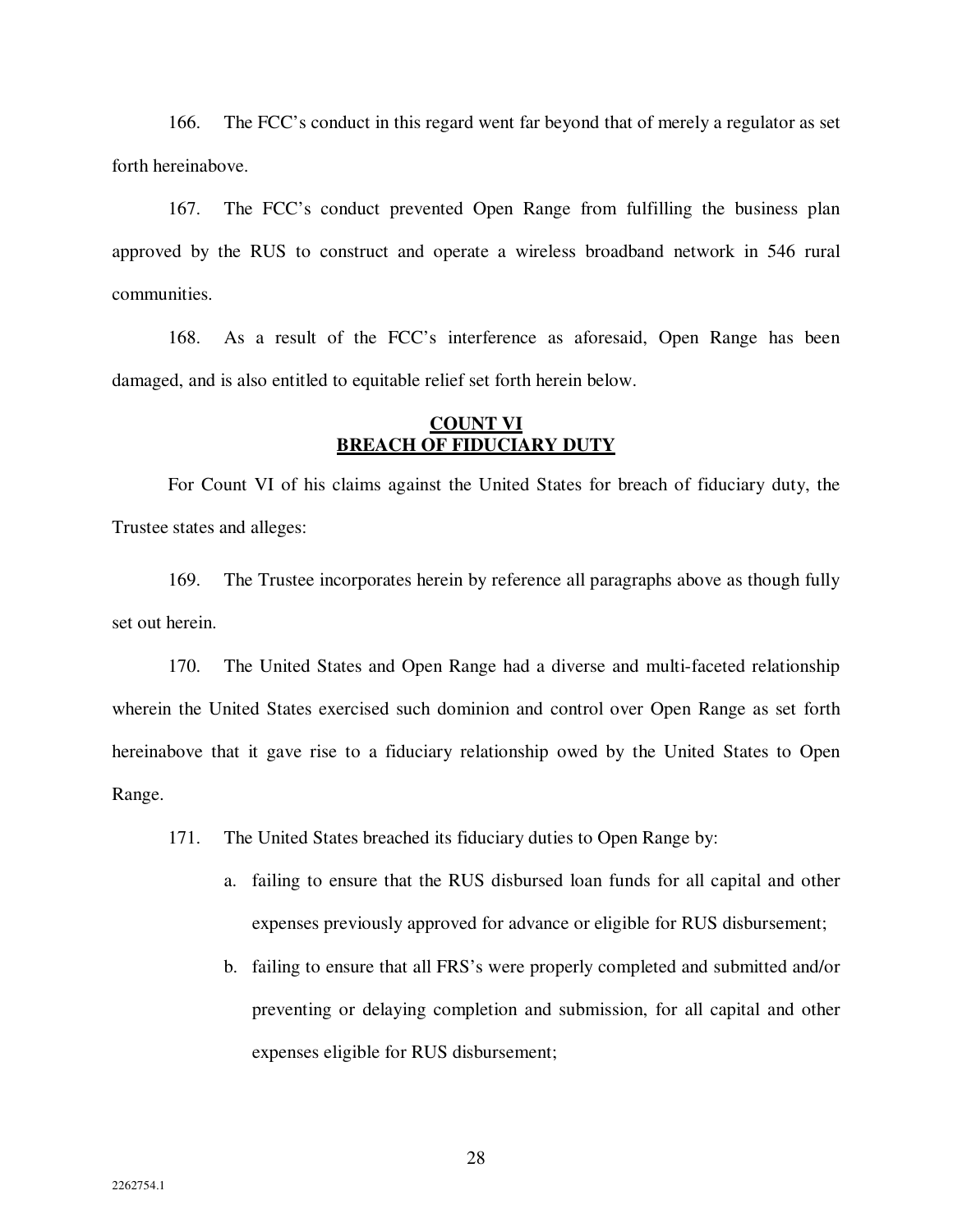166. The FCC's conduct in this regard went far beyond that of merely a regulator as set forth hereinabove.

167. The FCC's conduct prevented Open Range from fulfilling the business plan approved by the RUS to construct and operate a wireless broadband network in 546 rural communities.

168. As a result of the FCC's interference as aforesaid, Open Range has been damaged, and is also entitled to equitable relief set forth herein below.

# **COUNT VI BREACH OF FIDUCIARY DUTY**

For Count VI of his claims against the United States for breach of fiduciary duty, the Trustee states and alleges:

169. The Trustee incorporates herein by reference all paragraphs above as though fully set out herein.

170. The United States and Open Range had a diverse and multi-faceted relationship wherein the United States exercised such dominion and control over Open Range as set forth hereinabove that it gave rise to a fiduciary relationship owed by the United States to Open Range.

171. The United States breached its fiduciary duties to Open Range by:

- a. failing to ensure that the RUS disbursed loan funds for all capital and other expenses previously approved for advance or eligible for RUS disbursement;
- b. failing to ensure that all FRS's were properly completed and submitted and/or preventing or delaying completion and submission, for all capital and other expenses eligible for RUS disbursement;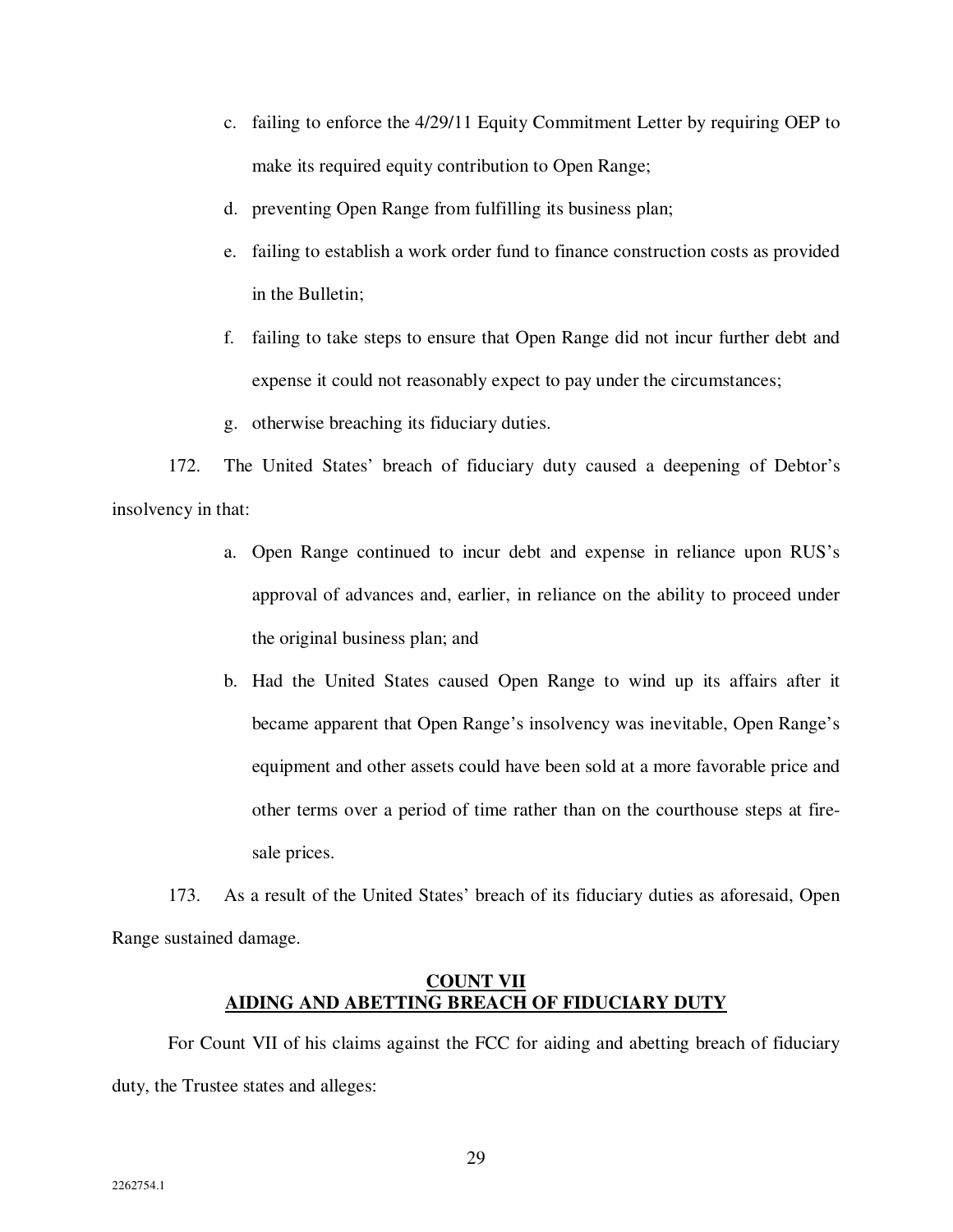- c. failing to enforce the 4/29/11 Equity Commitment Letter by requiring OEP to make its required equity contribution to Open Range;
- d. preventing Open Range from fulfilling its business plan;
- e. failing to establish a work order fund to finance construction costs as provided in the Bulletin;
- f. failing to take steps to ensure that Open Range did not incur further debt and expense it could not reasonably expect to pay under the circumstances;
- g. otherwise breaching its fiduciary duties.

172. The United States' breach of fiduciary duty caused a deepening of Debtor's insolvency in that:

- a. Open Range continued to incur debt and expense in reliance upon RUS's approval of advances and, earlier, in reliance on the ability to proceed under the original business plan; and
- b. Had the United States caused Open Range to wind up its affairs after it became apparent that Open Range's insolvency was inevitable, Open Range's equipment and other assets could have been sold at a more favorable price and other terms over a period of time rather than on the courthouse steps at firesale prices.

173. As a result of the United States' breach of its fiduciary duties as aforesaid, Open Range sustained damage.

# **COUNT VII AIDING AND ABETTING BREACH OF FIDUCIARY DUTY**

For Count VII of his claims against the FCC for aiding and abetting breach of fiduciary duty, the Trustee states and alleges: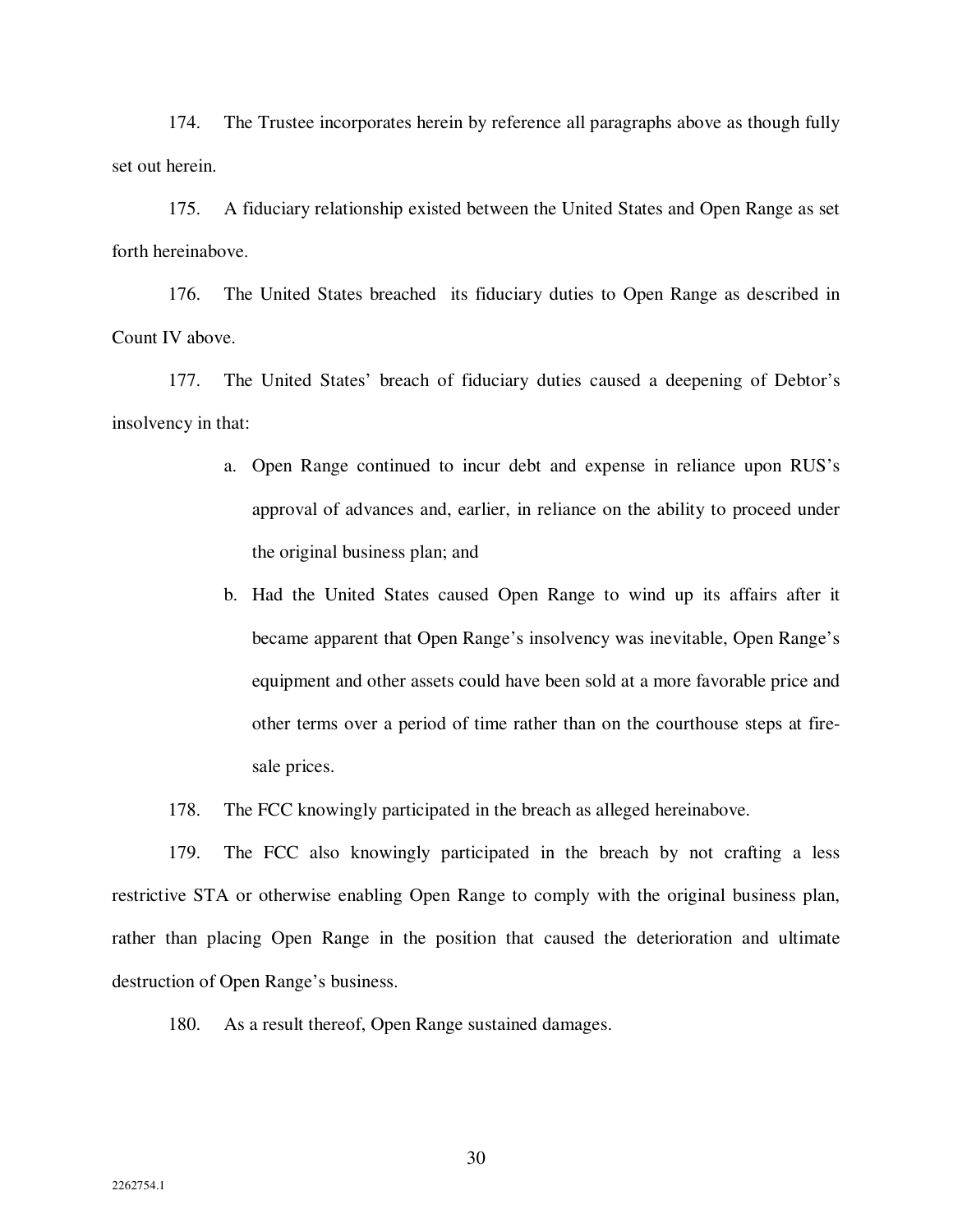174. The Trustee incorporates herein by reference all paragraphs above as though fully set out herein.

175. A fiduciary relationship existed between the United States and Open Range as set forth hereinabove.

176. The United States breached its fiduciary duties to Open Range as described in Count IV above.

177. The United States' breach of fiduciary duties caused a deepening of Debtor's insolvency in that:

- a. Open Range continued to incur debt and expense in reliance upon RUS's approval of advances and, earlier, in reliance on the ability to proceed under the original business plan; and
- b. Had the United States caused Open Range to wind up its affairs after it became apparent that Open Range's insolvency was inevitable, Open Range's equipment and other assets could have been sold at a more favorable price and other terms over a period of time rather than on the courthouse steps at firesale prices.
- 178. The FCC knowingly participated in the breach as alleged hereinabove.

179. The FCC also knowingly participated in the breach by not crafting a less restrictive STA or otherwise enabling Open Range to comply with the original business plan, rather than placing Open Range in the position that caused the deterioration and ultimate destruction of Open Range's business.

180. As a result thereof, Open Range sustained damages.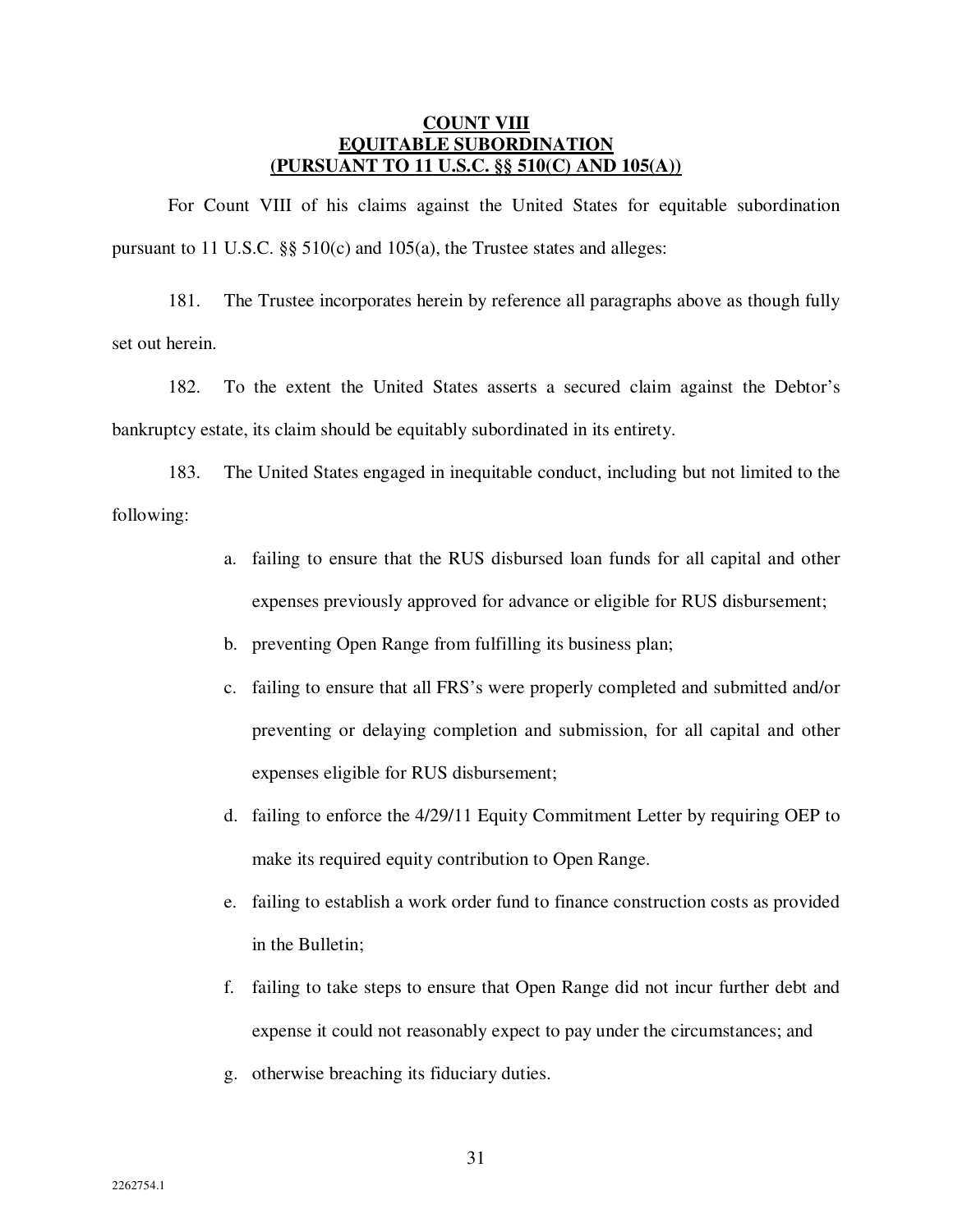# **COUNT VIII EQUITABLE SUBORDINATION (PURSUANT TO 11 U.S.C. §§ 510(C) AND 105(A))**

For Count VIII of his claims against the United States for equitable subordination pursuant to 11 U.S.C. §§ 510(c) and 105(a), the Trustee states and alleges:

181. The Trustee incorporates herein by reference all paragraphs above as though fully set out herein.

182. To the extent the United States asserts a secured claim against the Debtor's bankruptcy estate, its claim should be equitably subordinated in its entirety.

183. The United States engaged in inequitable conduct, including but not limited to the following:

- a. failing to ensure that the RUS disbursed loan funds for all capital and other expenses previously approved for advance or eligible for RUS disbursement;
- b. preventing Open Range from fulfilling its business plan;
- c. failing to ensure that all FRS's were properly completed and submitted and/or preventing or delaying completion and submission, for all capital and other expenses eligible for RUS disbursement;
- d. failing to enforce the 4/29/11 Equity Commitment Letter by requiring OEP to make its required equity contribution to Open Range.
- e. failing to establish a work order fund to finance construction costs as provided in the Bulletin;
- f. failing to take steps to ensure that Open Range did not incur further debt and expense it could not reasonably expect to pay under the circumstances; and
- g. otherwise breaching its fiduciary duties.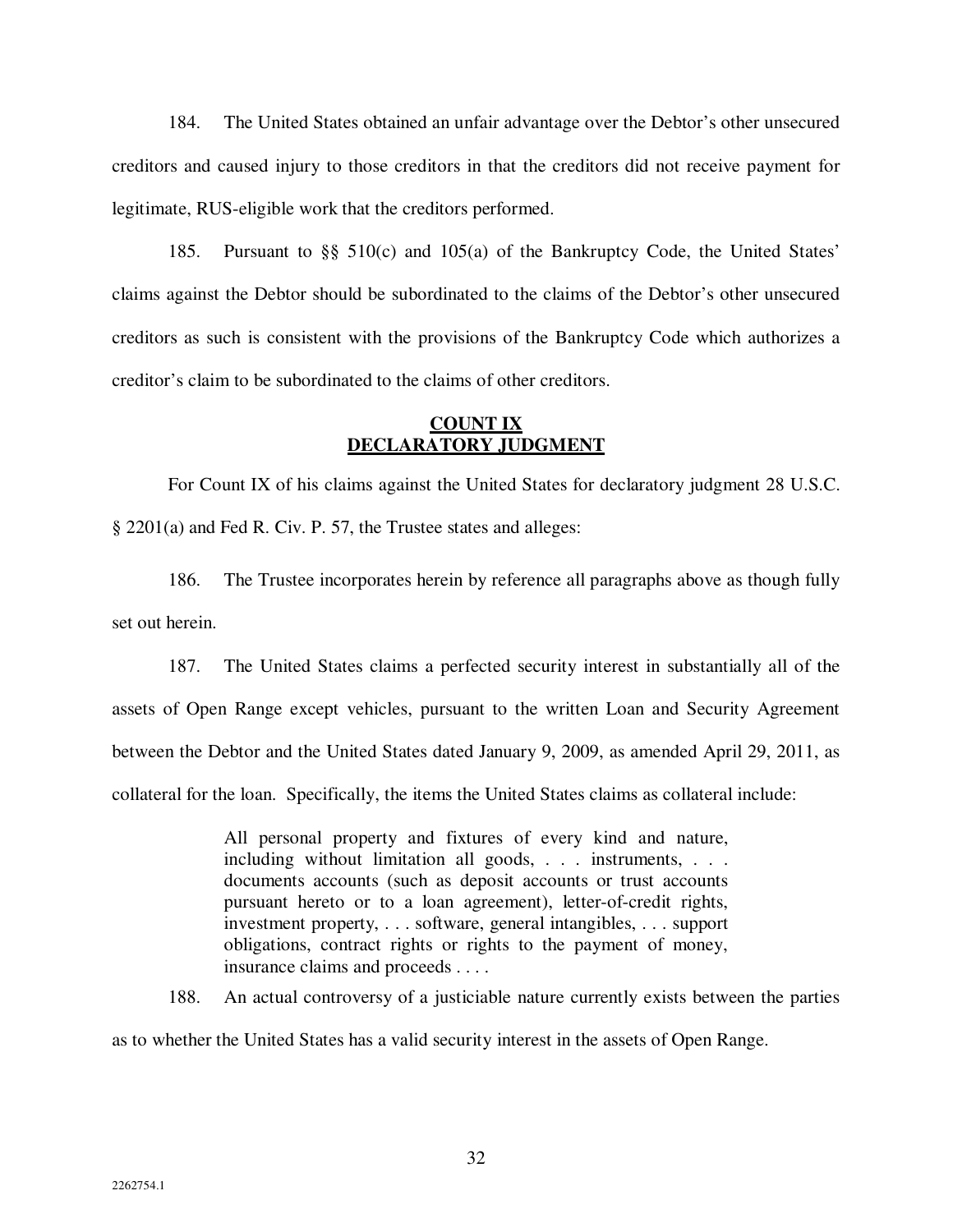184. The United States obtained an unfair advantage over the Debtor's other unsecured creditors and caused injury to those creditors in that the creditors did not receive payment for legitimate, RUS-eligible work that the creditors performed.

185. Pursuant to §§ 510(c) and 105(a) of the Bankruptcy Code, the United States' claims against the Debtor should be subordinated to the claims of the Debtor's other unsecured creditors as such is consistent with the provisions of the Bankruptcy Code which authorizes a creditor's claim to be subordinated to the claims of other creditors.

# **COUNT IX DECLARATORY JUDGMENT**

For Count IX of his claims against the United States for declaratory judgment 28 U.S.C. § 2201(a) and Fed R. Civ. P. 57, the Trustee states and alleges:

186. The Trustee incorporates herein by reference all paragraphs above as though fully set out herein.

187. The United States claims a perfected security interest in substantially all of the assets of Open Range except vehicles, pursuant to the written Loan and Security Agreement between the Debtor and the United States dated January 9, 2009, as amended April 29, 2011, as collateral for the loan. Specifically, the items the United States claims as collateral include:

> All personal property and fixtures of every kind and nature, including without limitation all goods, . . . instruments, . . . documents accounts (such as deposit accounts or trust accounts pursuant hereto or to a loan agreement), letter-of-credit rights, investment property, . . . software, general intangibles, . . . support obligations, contract rights or rights to the payment of money, insurance claims and proceeds . . . .

188. An actual controversy of a justiciable nature currently exists between the parties as to whether the United States has a valid security interest in the assets of Open Range.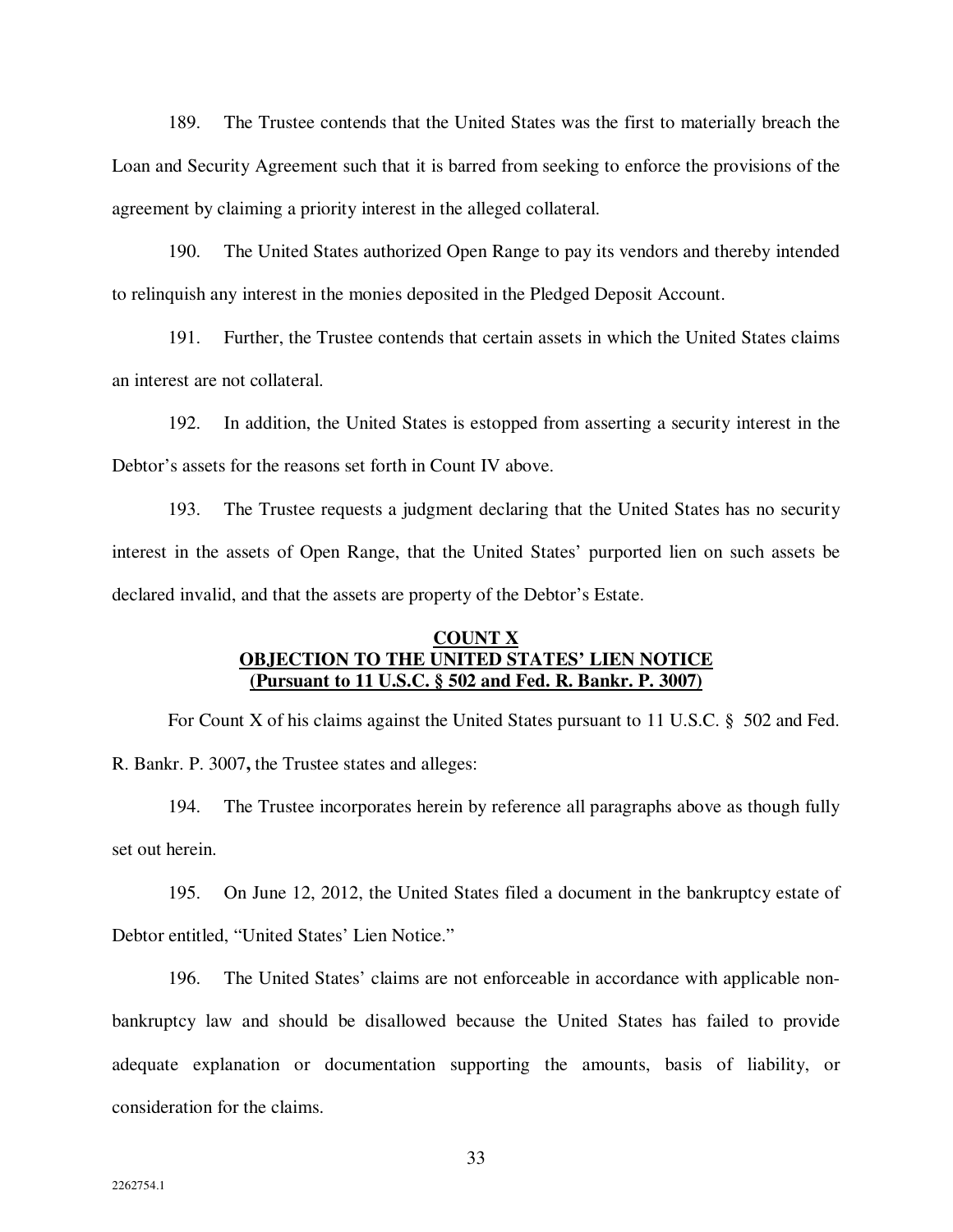189. The Trustee contends that the United States was the first to materially breach the Loan and Security Agreement such that it is barred from seeking to enforce the provisions of the agreement by claiming a priority interest in the alleged collateral.

190. The United States authorized Open Range to pay its vendors and thereby intended to relinquish any interest in the monies deposited in the Pledged Deposit Account.

191. Further, the Trustee contends that certain assets in which the United States claims an interest are not collateral.

192. In addition, the United States is estopped from asserting a security interest in the Debtor's assets for the reasons set forth in Count IV above.

193. The Trustee requests a judgment declaring that the United States has no security interest in the assets of Open Range, that the United States' purported lien on such assets be declared invalid, and that the assets are property of the Debtor's Estate.

# **COUNT X OBJECTION TO THE UNITED STATES' LIEN NOTICE (Pursuant to 11 U.S.C. § 502 and Fed. R. Bankr. P. 3007)**

For Count X of his claims against the United States pursuant to 11 U.S.C. § 502 and Fed. R. Bankr. P. 3007**,** the Trustee states and alleges:

194. The Trustee incorporates herein by reference all paragraphs above as though fully set out herein.

195. On June 12, 2012, the United States filed a document in the bankruptcy estate of Debtor entitled, "United States' Lien Notice."

196. The United States' claims are not enforceable in accordance with applicable nonbankruptcy law and should be disallowed because the United States has failed to provide adequate explanation or documentation supporting the amounts, basis of liability, or consideration for the claims.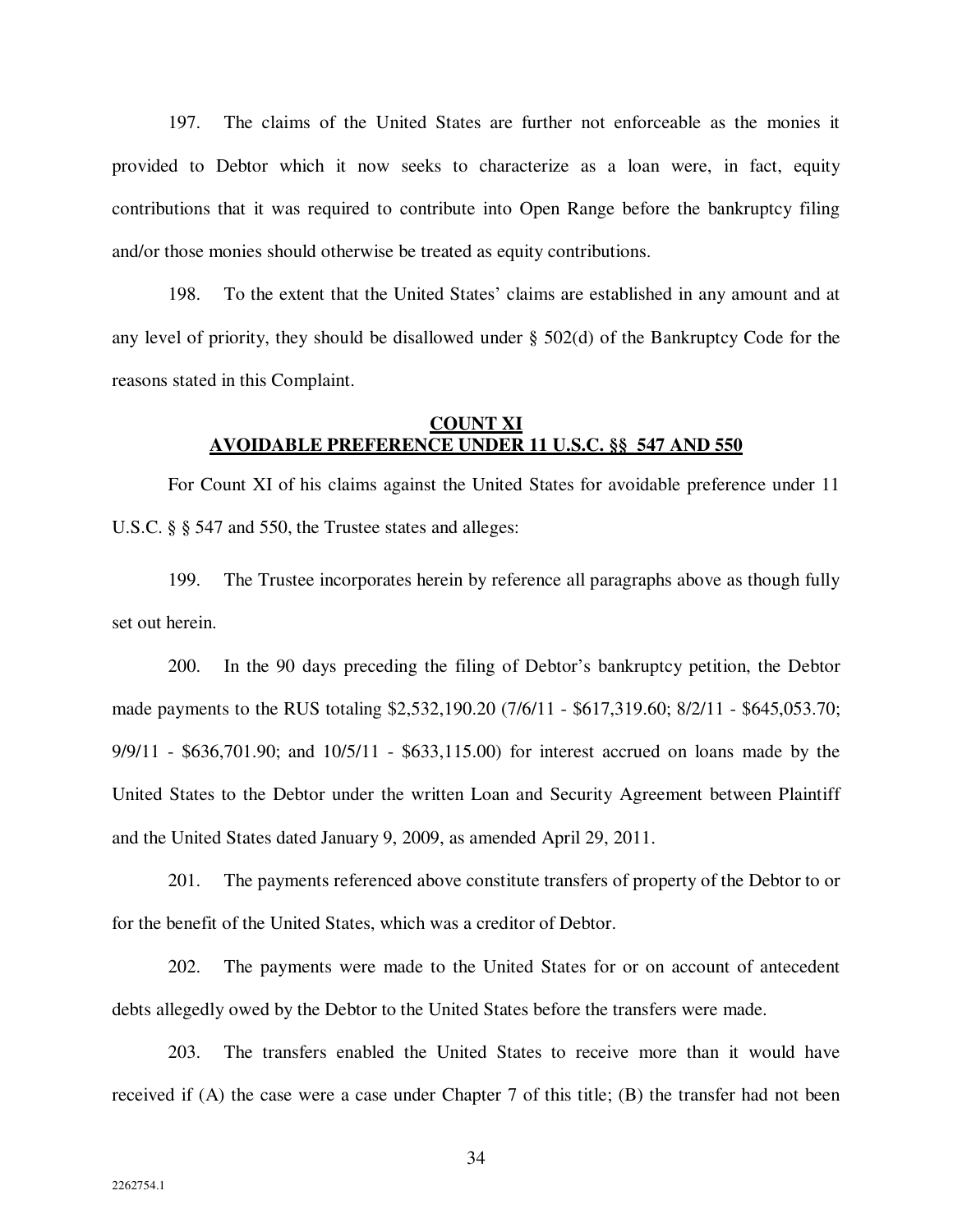197. The claims of the United States are further not enforceable as the monies it provided to Debtor which it now seeks to characterize as a loan were, in fact, equity contributions that it was required to contribute into Open Range before the bankruptcy filing and/or those monies should otherwise be treated as equity contributions.

198. To the extent that the United States' claims are established in any amount and at any level of priority, they should be disallowed under § 502(d) of the Bankruptcy Code for the reasons stated in this Complaint.

# **COUNT XI AVOIDABLE PREFERENCE UNDER 11 U.S.C. §§ 547 AND 550**

For Count XI of his claims against the United States for avoidable preference under 11 U.S.C. § § 547 and 550, the Trustee states and alleges:

199. The Trustee incorporates herein by reference all paragraphs above as though fully set out herein.

200. In the 90 days preceding the filing of Debtor's bankruptcy petition, the Debtor made payments to the RUS totaling \$2,532,190.20 (7/6/11 - \$617,319.60; 8/2/11 - \$645,053.70; 9/9/11 - \$636,701.90; and 10/5/11 - \$633,115.00) for interest accrued on loans made by the United States to the Debtor under the written Loan and Security Agreement between Plaintiff and the United States dated January 9, 2009, as amended April 29, 2011.

201. The payments referenced above constitute transfers of property of the Debtor to or for the benefit of the United States, which was a creditor of Debtor.

202. The payments were made to the United States for or on account of antecedent debts allegedly owed by the Debtor to the United States before the transfers were made.

203. The transfers enabled the United States to receive more than it would have received if (A) the case were a case under Chapter 7 of this title; (B) the transfer had not been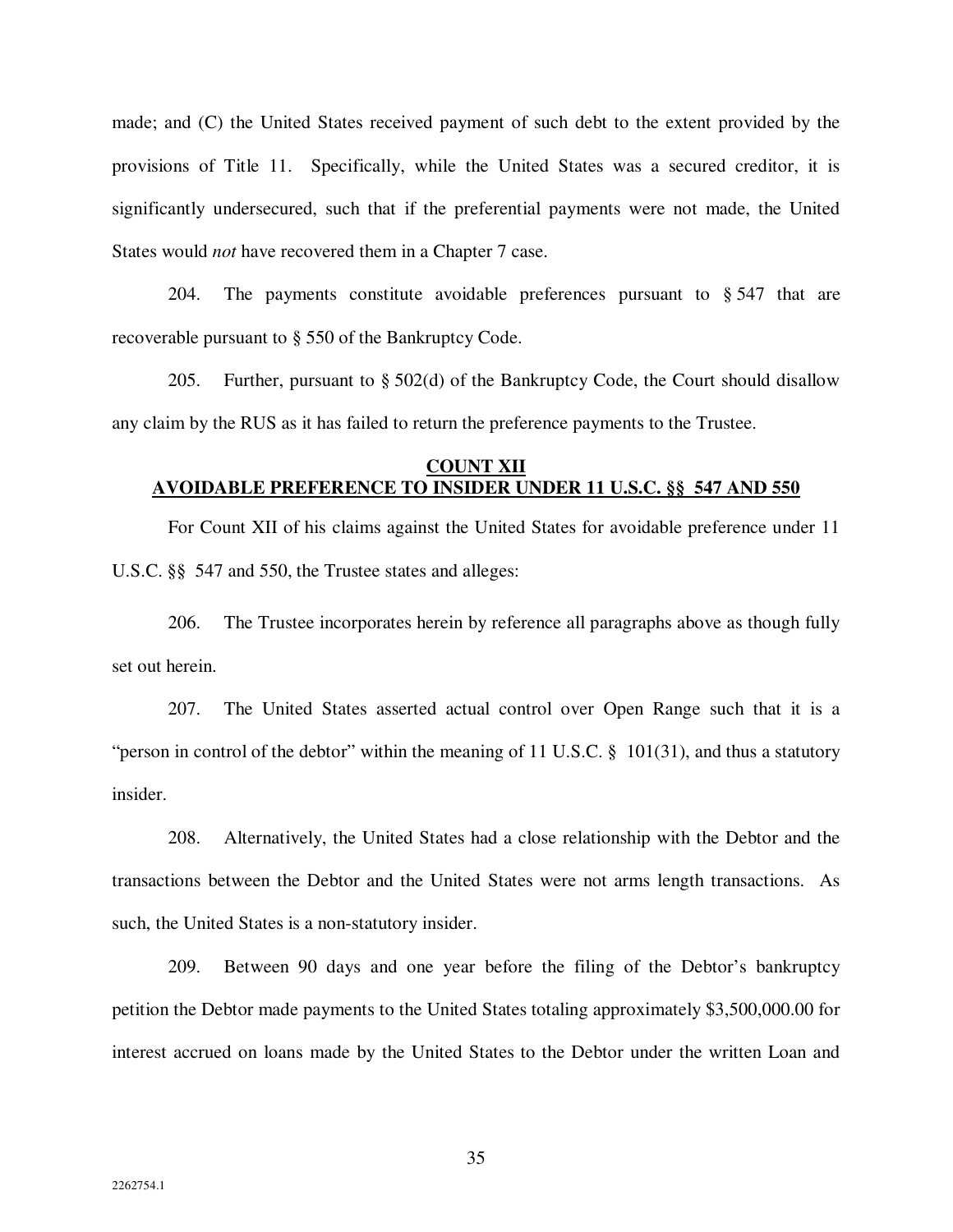made; and (C) the United States received payment of such debt to the extent provided by the provisions of Title 11. Specifically, while the United States was a secured creditor, it is significantly undersecured, such that if the preferential payments were not made, the United States would *not* have recovered them in a Chapter 7 case.

204. The payments constitute avoidable preferences pursuant to  $\S$  547 that are recoverable pursuant to § 550 of the Bankruptcy Code.

205. Further, pursuant to § 502(d) of the Bankruptcy Code, the Court should disallow any claim by the RUS as it has failed to return the preference payments to the Trustee.

### **COUNT XII AVOIDABLE PREFERENCE TO INSIDER UNDER 11 U.S.C. §§ 547 AND 550**

For Count XII of his claims against the United States for avoidable preference under 11 U.S.C. §§ 547 and 550, the Trustee states and alleges:

206. The Trustee incorporates herein by reference all paragraphs above as though fully set out herein.

207. The United States asserted actual control over Open Range such that it is a "person in control of the debtor" within the meaning of 11 U.S.C. § 101(31), and thus a statutory insider.

208. Alternatively, the United States had a close relationship with the Debtor and the transactions between the Debtor and the United States were not arms length transactions. As such, the United States is a non-statutory insider.

209. Between 90 days and one year before the filing of the Debtor's bankruptcy petition the Debtor made payments to the United States totaling approximately \$3,500,000.00 for interest accrued on loans made by the United States to the Debtor under the written Loan and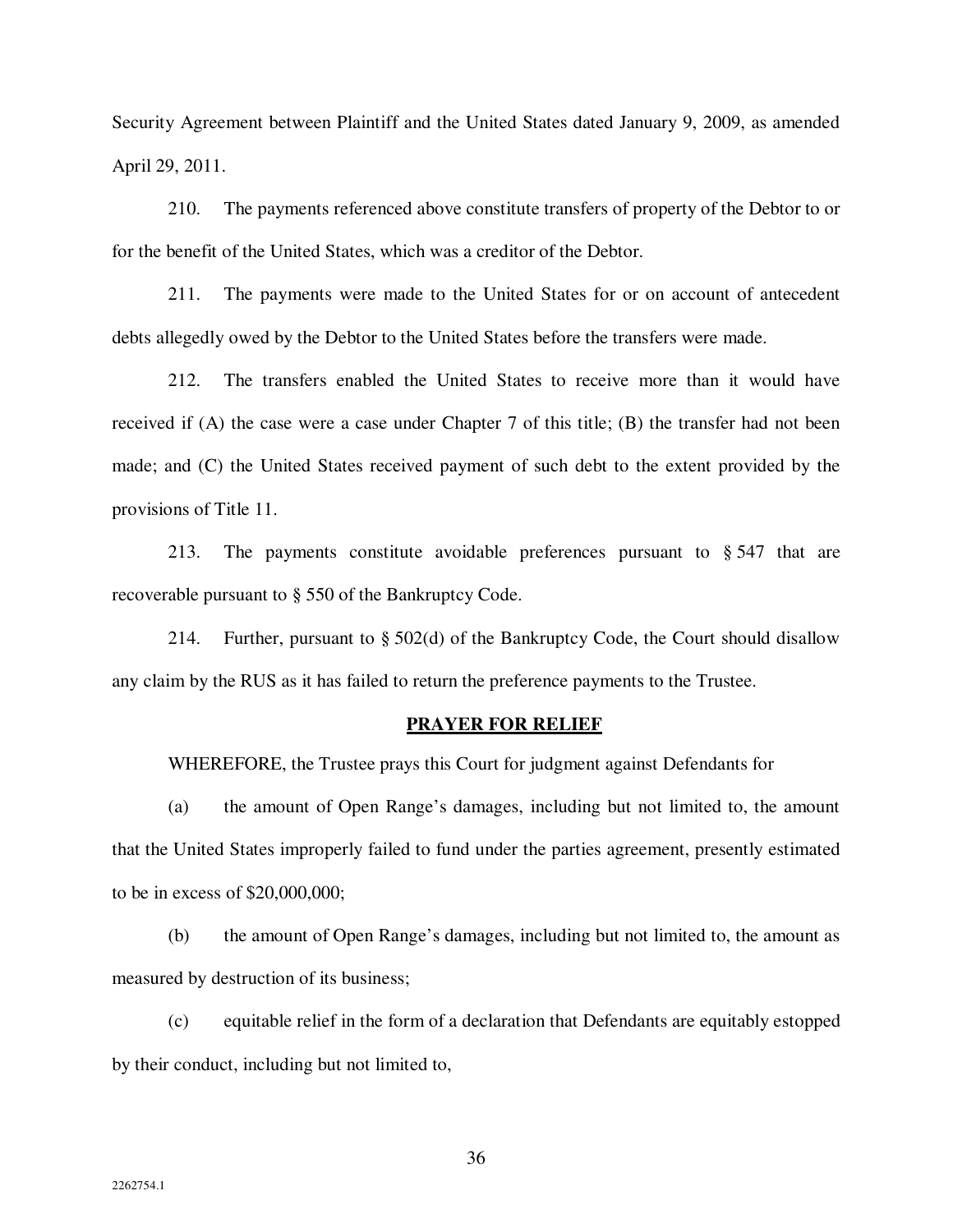Security Agreement between Plaintiff and the United States dated January 9, 2009, as amended April 29, 2011.

210. The payments referenced above constitute transfers of property of the Debtor to or for the benefit of the United States, which was a creditor of the Debtor.

211. The payments were made to the United States for or on account of antecedent debts allegedly owed by the Debtor to the United States before the transfers were made.

212. The transfers enabled the United States to receive more than it would have received if (A) the case were a case under Chapter 7 of this title; (B) the transfer had not been made; and (C) the United States received payment of such debt to the extent provided by the provisions of Title 11.

213. The payments constitute avoidable preferences pursuant to § 547 that are recoverable pursuant to § 550 of the Bankruptcy Code.

214. Further, pursuant to § 502(d) of the Bankruptcy Code, the Court should disallow any claim by the RUS as it has failed to return the preference payments to the Trustee.

#### **PRAYER FOR RELIEF**

WHEREFORE, the Trustee prays this Court for judgment against Defendants for

(a) the amount of Open Range's damages, including but not limited to, the amount that the United States improperly failed to fund under the parties agreement, presently estimated to be in excess of \$20,000,000;

(b) the amount of Open Range's damages, including but not limited to, the amount as measured by destruction of its business;

(c) equitable relief in the form of a declaration that Defendants are equitably estopped by their conduct, including but not limited to,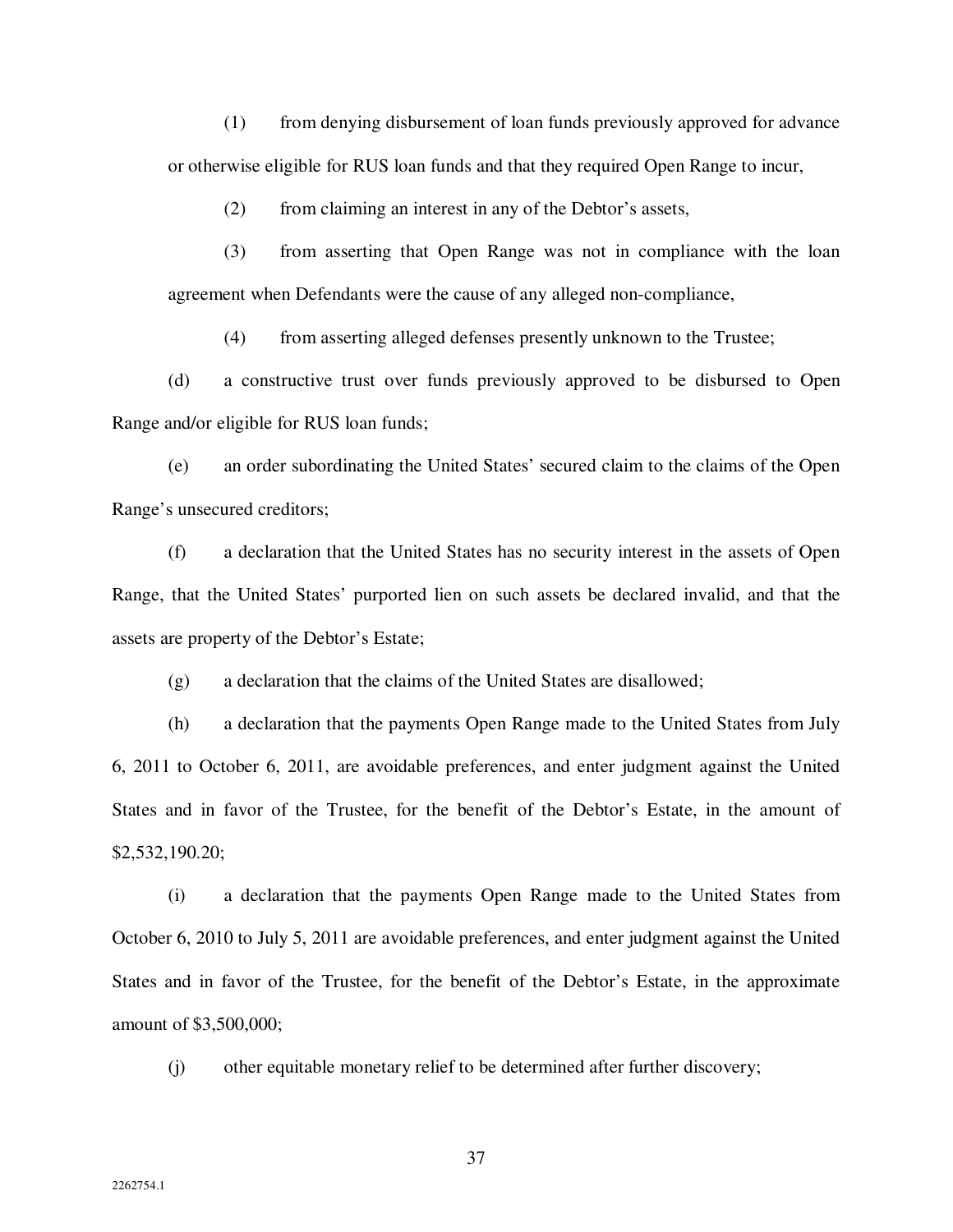(1) from denying disbursement of loan funds previously approved for advance or otherwise eligible for RUS loan funds and that they required Open Range to incur,

(2) from claiming an interest in any of the Debtor's assets,

(3) from asserting that Open Range was not in compliance with the loan agreement when Defendants were the cause of any alleged non-compliance,

(4) from asserting alleged defenses presently unknown to the Trustee;

(d) a constructive trust over funds previously approved to be disbursed to Open Range and/or eligible for RUS loan funds;

(e) an order subordinating the United States' secured claim to the claims of the Open Range's unsecured creditors;

(f) a declaration that the United States has no security interest in the assets of Open Range, that the United States' purported lien on such assets be declared invalid, and that the assets are property of the Debtor's Estate;

(g) a declaration that the claims of the United States are disallowed;

(h) a declaration that the payments Open Range made to the United States from July 6, 2011 to October 6, 2011, are avoidable preferences, and enter judgment against the United States and in favor of the Trustee, for the benefit of the Debtor's Estate, in the amount of \$2,532,190.20;

(i) a declaration that the payments Open Range made to the United States from October 6, 2010 to July 5, 2011 are avoidable preferences, and enter judgment against the United States and in favor of the Trustee, for the benefit of the Debtor's Estate, in the approximate amount of \$3,500,000;

(j) other equitable monetary relief to be determined after further discovery;